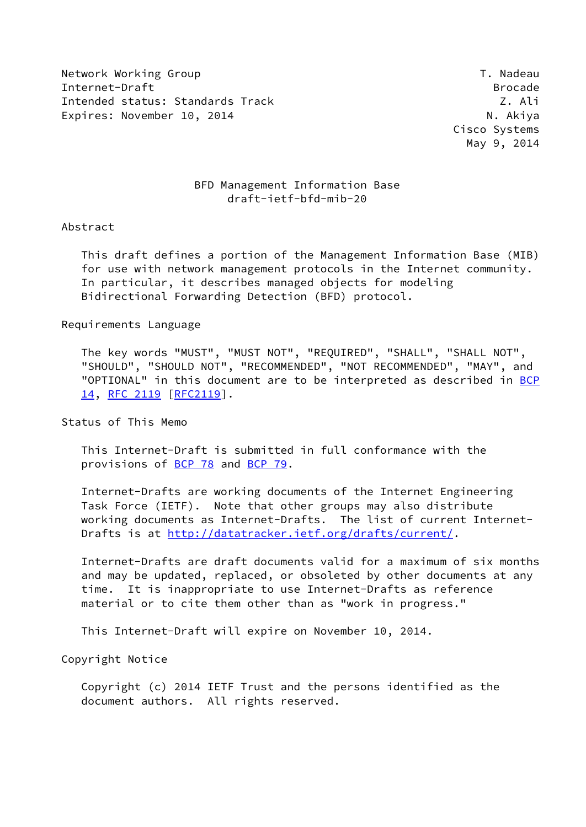Network Working Group T. Nadeau Network Alexander Management of the U.S. of the U.S. of the U.S. of the U.S. o Internet-Draft Brocade Intended status: Standards Track Z. Ali Expires: November 10, 2014 and the state of the N. Akiya

 Cisco Systems May 9, 2014

## BFD Management Information Base draft-ietf-bfd-mib-20

## Abstract

 This draft defines a portion of the Management Information Base (MIB) for use with network management protocols in the Internet community. In particular, it describes managed objects for modeling Bidirectional Forwarding Detection (BFD) protocol.

## Requirements Language

 The key words "MUST", "MUST NOT", "REQUIRED", "SHALL", "SHALL NOT", "SHOULD", "SHOULD NOT", "RECOMMENDED", "NOT RECOMMENDED", "MAY", and "OPTIONAL" in this document are to be interpreted as described in [BCP](https://datatracker.ietf.org/doc/pdf/bcp14) [14](https://datatracker.ietf.org/doc/pdf/bcp14), [RFC 2119 \[RFC2119](https://datatracker.ietf.org/doc/pdf/rfc2119)].

Status of This Memo

 This Internet-Draft is submitted in full conformance with the provisions of [BCP 78](https://datatracker.ietf.org/doc/pdf/bcp78) and [BCP 79](https://datatracker.ietf.org/doc/pdf/bcp79).

 Internet-Drafts are working documents of the Internet Engineering Task Force (IETF). Note that other groups may also distribute working documents as Internet-Drafts. The list of current Internet Drafts is at<http://datatracker.ietf.org/drafts/current/>.

 Internet-Drafts are draft documents valid for a maximum of six months and may be updated, replaced, or obsoleted by other documents at any time. It is inappropriate to use Internet-Drafts as reference material or to cite them other than as "work in progress."

This Internet-Draft will expire on November 10, 2014.

Copyright Notice

 Copyright (c) 2014 IETF Trust and the persons identified as the document authors. All rights reserved.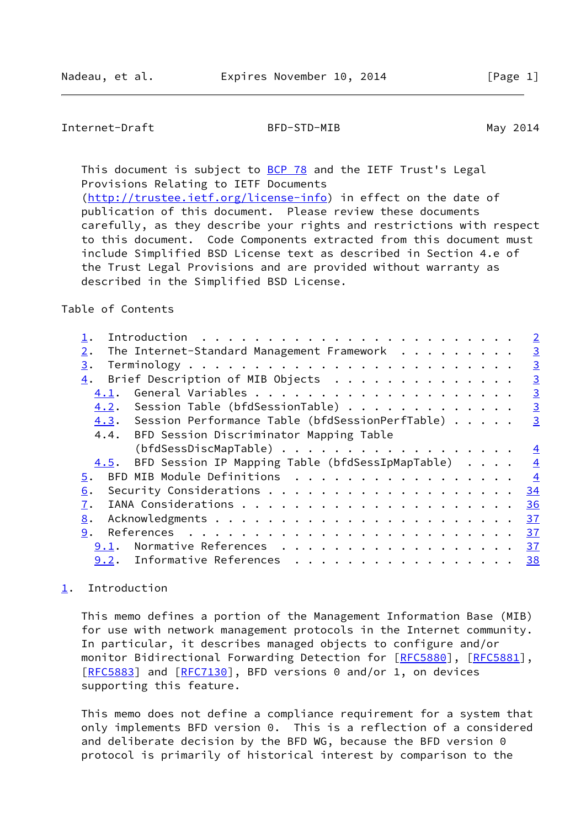## <span id="page-1-1"></span>Internet-Draft BFD-STD-MIB May 2014

This document is subject to [BCP 78](https://datatracker.ietf.org/doc/pdf/bcp78) and the IETF Trust's Legal Provisions Relating to IETF Documents [\(http://trustee.ietf.org/license-info](http://trustee.ietf.org/license-info)) in effect on the date of publication of this document. Please review these documents

 carefully, as they describe your rights and restrictions with respect to this document. Code Components extracted from this document must include Simplified BSD License text as described in Section 4.e of the Trust Legal Provisions and are provided without warranty as described in the Simplified BSD License.

## Table of Contents

|                                                       |  |  | $\overline{2}$ |
|-------------------------------------------------------|--|--|----------------|
| The Internet-Standard Management Framework<br>$2$ .   |  |  | $\overline{3}$ |
| 3.                                                    |  |  | $\overline{3}$ |
| Brief Description of MIB Objects<br>4.                |  |  | $\overline{3}$ |
| 4.1.                                                  |  |  | $\overline{3}$ |
| 4.2. Session Table (bfdSessionTable)                  |  |  | $\overline{3}$ |
| 4.3. Session Performance Table (bfdSessionPerfTable)  |  |  | $\overline{3}$ |
| 4.4. BFD Session Discriminator Mapping Table          |  |  |                |
| (bfdSessDiscMapTable)                                 |  |  | $\frac{4}{1}$  |
| 4.5. BFD Session IP Mapping Table (bfdSessIpMapTable) |  |  | $\overline{4}$ |
| BFD MIB Module Definitions<br>5.                      |  |  | $\frac{4}{3}$  |
| 6.                                                    |  |  | 34             |
| 7.                                                    |  |  | 36             |
| 8.                                                    |  |  | 37             |
| 9.                                                    |  |  | 37             |
| Normative References<br>9.1.                          |  |  | 37             |
| 9.2. Informative References                           |  |  | 38             |

# <span id="page-1-0"></span>[1](#page-1-0). Introduction

 This memo defines a portion of the Management Information Base (MIB) for use with network management protocols in the Internet community. In particular, it describes managed objects to configure and/or monitor Bidirectional Forwarding Detection for [\[RFC5880](https://datatracker.ietf.org/doc/pdf/rfc5880)], [[RFC5881](https://datatracker.ietf.org/doc/pdf/rfc5881)], [\[RFC5883](https://datatracker.ietf.org/doc/pdf/rfc5883)] and [[RFC7130](https://datatracker.ietf.org/doc/pdf/rfc7130)], BFD versions 0 and/or 1, on devices supporting this feature.

 This memo does not define a compliance requirement for a system that only implements BFD version 0. This is a reflection of a considered and deliberate decision by the BFD WG, because the BFD version 0 protocol is primarily of historical interest by comparison to the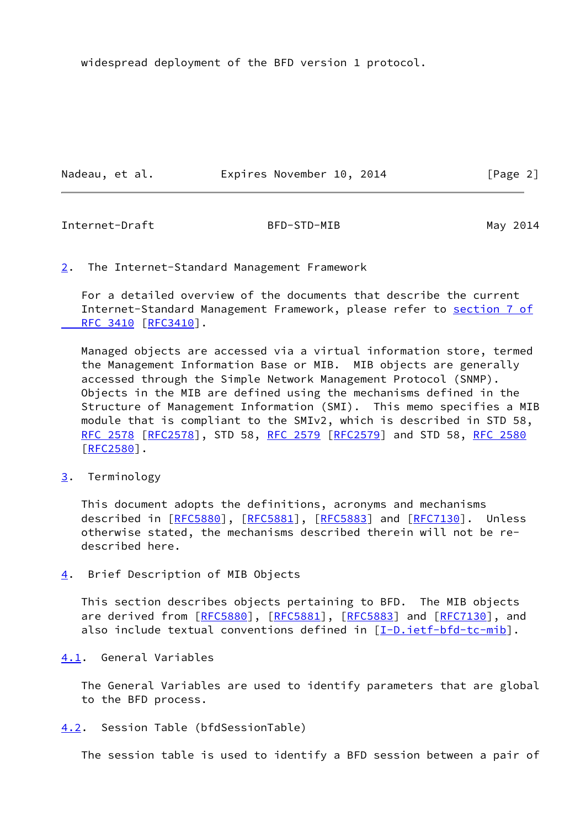widespread deployment of the BFD version 1 protocol.

Nadeau, et al. **Expires November 10, 2014** [Page 2]

<span id="page-2-1"></span>Internet-Draft BFD-STD-MIB May 2014

<span id="page-2-0"></span>[2](#page-2-0). The Internet-Standard Management Framework

 For a detailed overview of the documents that describe the current Internet-Standard Management Framework, please refer to [section](https://datatracker.ietf.org/doc/pdf/rfc3410#section-7) 7 of RFC 3410 [\[RFC3410](https://datatracker.ietf.org/doc/pdf/rfc3410)].

 Managed objects are accessed via a virtual information store, termed the Management Information Base or MIB. MIB objects are generally accessed through the Simple Network Management Protocol (SNMP). Objects in the MIB are defined using the mechanisms defined in the Structure of Management Information (SMI). This memo specifies a MIB module that is compliant to the SMIv2, which is described in STD 58, [RFC 2578](https://datatracker.ietf.org/doc/pdf/rfc2578) [\[RFC2578](https://datatracker.ietf.org/doc/pdf/rfc2578)], STD 58, [RFC 2579 \[RFC2579](https://datatracker.ietf.org/doc/pdf/rfc2579)] and STD 58, [RFC 2580](https://datatracker.ietf.org/doc/pdf/rfc2580) [\[RFC2580](https://datatracker.ietf.org/doc/pdf/rfc2580)].

<span id="page-2-2"></span>[3](#page-2-2). Terminology

 This document adopts the definitions, acronyms and mechanisms described in [\[RFC5880](https://datatracker.ietf.org/doc/pdf/rfc5880)], [\[RFC5881](https://datatracker.ietf.org/doc/pdf/rfc5881)], [[RFC5883\]](https://datatracker.ietf.org/doc/pdf/rfc5883) and [\[RFC7130](https://datatracker.ietf.org/doc/pdf/rfc7130)]. Unless otherwise stated, the mechanisms described therein will not be re described here.

<span id="page-2-3"></span>[4](#page-2-3). Brief Description of MIB Objects

 This section describes objects pertaining to BFD. The MIB objects are derived from [\[RFC5880](https://datatracker.ietf.org/doc/pdf/rfc5880)], [\[RFC5881](https://datatracker.ietf.org/doc/pdf/rfc5881)], [\[RFC5883](https://datatracker.ietf.org/doc/pdf/rfc5883)] and [\[RFC7130](https://datatracker.ietf.org/doc/pdf/rfc7130)], and also include textual conventions defined in  $[I-D.iett-bfd-tc-mib]$ .

<span id="page-2-4"></span>[4.1](#page-2-4). General Variables

 The General Variables are used to identify parameters that are global to the BFD process.

<span id="page-2-5"></span>[4.2](#page-2-5). Session Table (bfdSessionTable)

The session table is used to identify a BFD session between a pair of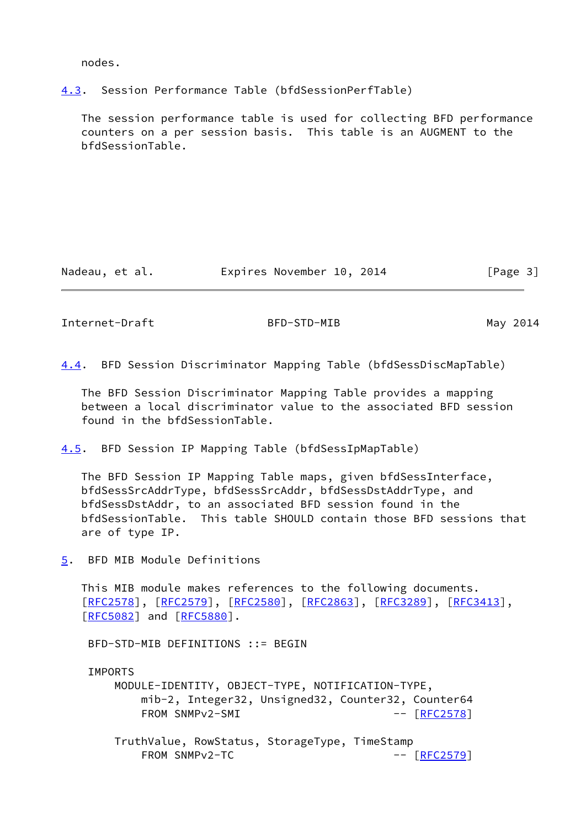nodes.

<span id="page-3-0"></span>[4.3](#page-3-0). Session Performance Table (bfdSessionPerfTable)

 The session performance table is used for collecting BFD performance counters on a per session basis. This table is an AUGMENT to the bfdSessionTable.

Nadeau, et al. **Expires November 10, 2014** [Page 3]

<span id="page-3-1"></span>Internet-Draft BFD-STD-MIB May 2014

<span id="page-3-4"></span>[4.4](#page-3-4). BFD Session Discriminator Mapping Table (bfdSessDiscMapTable)

 The BFD Session Discriminator Mapping Table provides a mapping between a local discriminator value to the associated BFD session found in the bfdSessionTable.

<span id="page-3-2"></span>[4.5](#page-3-2). BFD Session IP Mapping Table (bfdSessIpMapTable)

 The BFD Session IP Mapping Table maps, given bfdSessInterface, bfdSessSrcAddrType, bfdSessSrcAddr, bfdSessDstAddrType, and bfdSessDstAddr, to an associated BFD session found in the bfdSessionTable. This table SHOULD contain those BFD sessions that are of type IP.

<span id="page-3-3"></span>[5](#page-3-3). BFD MIB Module Definitions

 This MIB module makes references to the following documents. [\[RFC2578](https://datatracker.ietf.org/doc/pdf/rfc2578)], [[RFC2579\]](https://datatracker.ietf.org/doc/pdf/rfc2579), [[RFC2580](https://datatracker.ietf.org/doc/pdf/rfc2580)], [\[RFC2863](https://datatracker.ietf.org/doc/pdf/rfc2863)], [\[RFC3289](https://datatracker.ietf.org/doc/pdf/rfc3289)], [\[RFC3413](https://datatracker.ietf.org/doc/pdf/rfc3413)], [\[RFC5082](https://datatracker.ietf.org/doc/pdf/rfc5082)] and [[RFC5880](https://datatracker.ietf.org/doc/pdf/rfc5880)].

BFD-STD-MIB DEFINITIONS ::= BEGIN

IMPORTS

 MODULE-IDENTITY, OBJECT-TYPE, NOTIFICATION-TYPE, mib-2, Integer32, Unsigned32, Counter32, Counter64 FROM SNMPv2-SMI -- [[RFC2578](https://datatracker.ietf.org/doc/pdf/rfc2578)]

 TruthValue, RowStatus, StorageType, TimeStamp FROM SNMPv2-TC -- [[RFC2579](https://datatracker.ietf.org/doc/pdf/rfc2579)]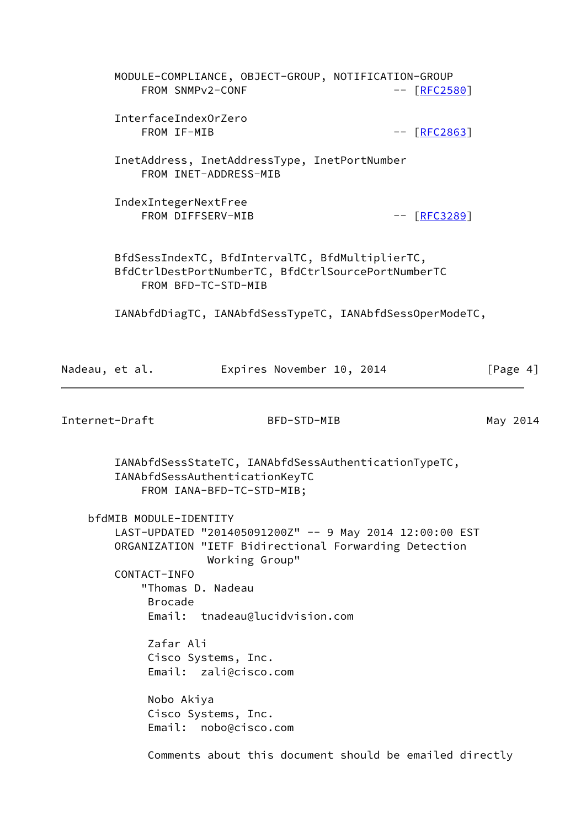|                | MODULE-COMPLIANCE, OBJECT-GROUP, NOTIFICATION-GROUP<br>FROM SNMPv2-CONF                               |                                |                           | $-$ [RFC2580]                                           |             |
|----------------|-------------------------------------------------------------------------------------------------------|--------------------------------|---------------------------|---------------------------------------------------------|-------------|
|                | InterfaceIndexOrZero<br>FROM IF-MIB                                                                   |                                |                           | $-- [RFC2863]$                                          |             |
|                | InetAddress, InetAddressType, InetPortNumber                                                          | FROM INET-ADDRESS-MIB          |                           |                                                         |             |
|                | IndexIntegerNextFree                                                                                  | FROM DIFFSERV-MIB              |                           | $-- [RFC3289]$                                          |             |
|                | BfdSessIndexTC, BfdIntervalTC, BfdMultiplierTC,<br>BfdCtrlDestPortNumberTC, BfdCtrlSourcePortNumberTC | FROM BFD-TC-STD-MIB            |                           |                                                         |             |
|                | IANAbfdDiagTC, IANAbfdSessTypeTC, IANAbfdSessOperModeTC,                                              |                                |                           |                                                         |             |
| Nadeau, et al. |                                                                                                       |                                | Expires November 10, 2014 |                                                         | [Page $4$ ] |
| Internet-Draft |                                                                                                       |                                | BFD-STD-MIB               |                                                         | May 2014    |
|                | IANAbfdSessStateTC, IANAbfdSessAuthenticationTypeTC,<br>IANAbfdSessAuthenticationKeyTC                | FROM IANA-BFD-TC-STD-MIB;      |                           |                                                         |             |
|                | bfdMIB MODULE-IDENTITY                                                                                |                                |                           |                                                         |             |
|                | LAST-UPDATED "201405091200Z" -- 9 May 2014 12:00:00 EST                                               |                                |                           |                                                         |             |
|                | ORGANIZATION "IETF Bidirectional Forwarding Detection                                                 | Working Group"                 |                           |                                                         |             |
|                | CONTACT-INFO                                                                                          |                                |                           |                                                         |             |
|                | <b>Brocade</b>                                                                                        | "Thomas D. Nadeau              |                           |                                                         |             |
|                |                                                                                                       | Email: tnadeau@lucidvision.com |                           |                                                         |             |
|                | Zafar Ali                                                                                             |                                |                           |                                                         |             |
|                |                                                                                                       | Cisco Systems, Inc.            |                           |                                                         |             |
|                |                                                                                                       | Email: zali@cisco.com          |                           |                                                         |             |
|                | Nobo Akiya                                                                                            |                                |                           |                                                         |             |
|                |                                                                                                       | Cisco Systems, Inc.            |                           |                                                         |             |
|                |                                                                                                       | Email: nobo@cisco.com          |                           |                                                         |             |
|                |                                                                                                       |                                |                           | Comments about this document should be emailed directly |             |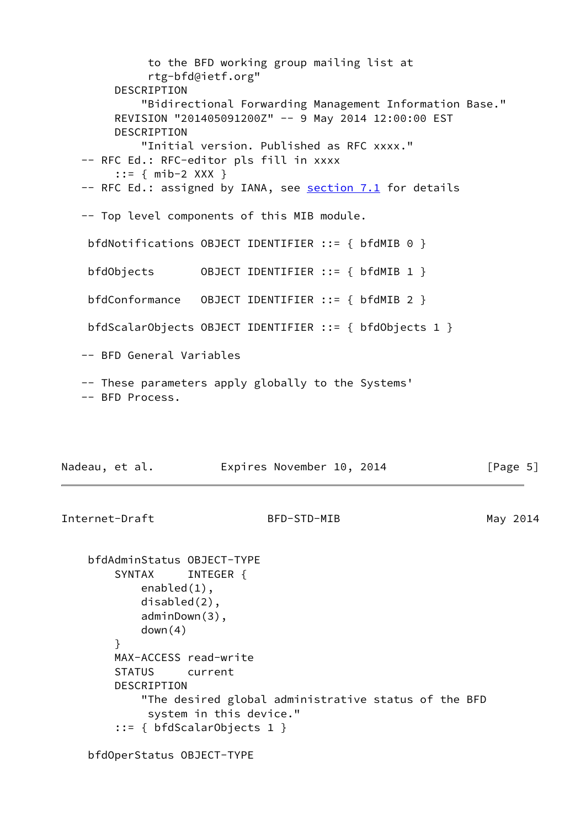to the BFD working group mailing list at rtg-bfd@ietf.org" DESCRIPTION "Bidirectional Forwarding Management Information Base." REVISION "201405091200Z" -- 9 May 2014 12:00:00 EST DESCRIPTION "Initial version. Published as RFC xxxx." -- RFC Ed.: RFC-editor pls fill in xxxx ::= { mib-2 XXX } -- RFC Ed.: assigned by IANA, see section 7.1 for details -- Top level components of this MIB module. bfdNotifications OBJECT IDENTIFIER ::= { bfdMIB 0 } bfdObjects OBJECT IDENTIFIER ::= { bfdMIB 1 } bfdConformance OBJECT IDENTIFIER ::= { bfdMIB 2 } bfdScalarObjects OBJECT IDENTIFIER ::= { bfdObjects 1 } -- BFD General Variables -- These parameters apply globally to the Systems' -- BFD Process. Nadeau, et al. **Expires November 10, 2014** [Page 5] Internet-Draft BFD-STD-MIB May 2014 bfdAdminStatus OBJECT-TYPE SYNTAX INTEGER { enabled(1),

 disabled(2), adminDown(3), down(4) } MAX-ACCESS read-write STATUS current DESCRIPTION "The desired global administrative status of the BFD system in this device." ::= { bfdScalarObjects 1 }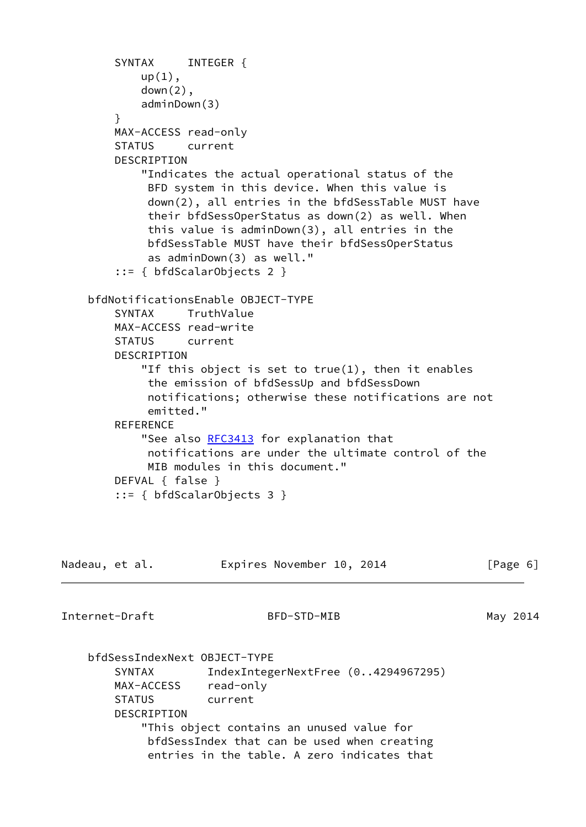```
SYNTAX INTEGER {
           up(1),
            down(2),
            adminDown(3)
 }
        MAX-ACCESS read-only
        STATUS current
        DESCRIPTION
            "Indicates the actual operational status of the
             BFD system in this device. When this value is
             down(2), all entries in the bfdSessTable MUST have
             their bfdSessOperStatus as down(2) as well. When
             this value is adminDown(3), all entries in the
             bfdSessTable MUST have their bfdSessOperStatus
             as adminDown(3) as well."
         ::= { bfdScalarObjects 2 }
    bfdNotificationsEnable OBJECT-TYPE
        SYNTAX TruthValue
        MAX-ACCESS read-write
        STATUS current
        DESCRIPTION
            "If this object is set to true(1), then it enables
             the emission of bfdSessUp and bfdSessDown
             notifications; otherwise these notifications are not
             emitted."
       REFERENCE
           RFC3413 for explanation that
             notifications are under the ultimate control of the
             MIB modules in this document."
        DEFVAL { false }
        ::= { bfdScalarObjects 3 }
```

| Nadeau, et al.               | Expires November 10, 2014                   | [Page 6] |
|------------------------------|---------------------------------------------|----------|
| Internet-Draft               | BFD-STD-MIB                                 | May 2014 |
| bfdSessIndexNext OBJECT-TYPE |                                             |          |
| SYNTAX                       | IndexIntegerNextFree (04294967295)          |          |
| MAX-ACCESS                   | read-only                                   |          |
| <b>STATUS</b>                | current                                     |          |
| DESCRIPTION                  |                                             |          |
|                              | "This object contains an unused value for   |          |
|                              | bfdSessIndex that can be used when creating |          |
|                              | entries in the table. A zero indicates that |          |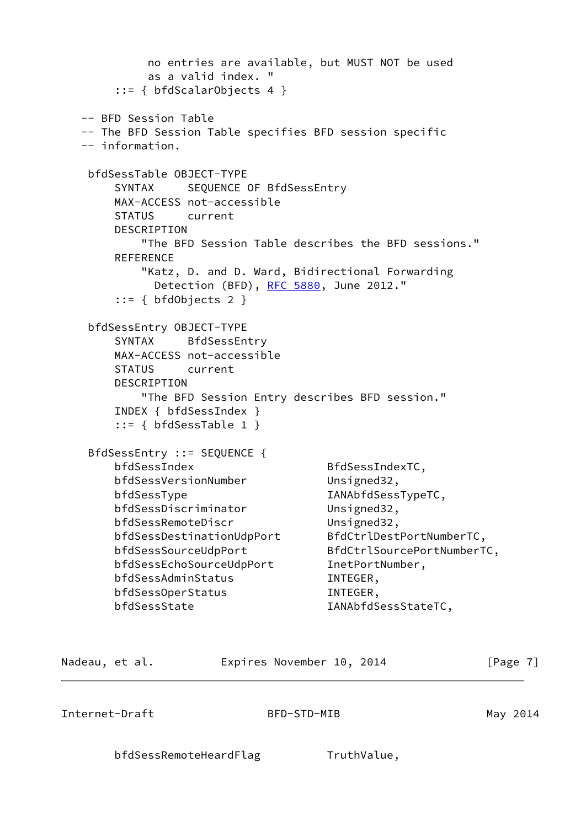```
 no entries are available, but MUST NOT be used
            as a valid index. "
        ::= { bfdScalarObjects 4 }
   -- BFD Session Table
   -- The BFD Session Table specifies BFD session specific
   -- information.
    bfdSessTable OBJECT-TYPE
       SYNTAX SEQUENCE OF BfdSessEntry
       MAX-ACCESS not-accessible
       STATUS current
       DESCRIPTION
           "The BFD Session Table describes the BFD sessions."
       REFERENCE
           "Katz, D. and D. Ward, Bidirectional Forwarding
            RFC 5880, June 2012."
       ::= \{ bfdObjects 2 \} bfdSessEntry OBJECT-TYPE
       SYNTAX BfdSessEntry
       MAX-ACCESS not-accessible
       STATUS current
       DESCRIPTION
           "The BFD Session Entry describes BFD session."
       INDEX { bfdSessIndex }
        ::= { bfdSessTable 1 }
    BfdSessEntry ::= SEQUENCE {
      bfdSessIndex BfdSessIndexTC,
      bfdSessVersionNumber Unsigned32,
      bfdSessType IANAbfdSessTypeTC,
       bfdSessDiscriminator Unsigned32,
       bfdSessRemoteDiscr Unsigned32,
       bfdSessDestinationUdpPort BfdCtrlDestPortNumberTC,
       bfdSessSourceUdpPort BfdCtrlSourcePortNumberTC,
       bfdSessEchoSourceUdpPort InetPortNumber,
       bfdSessAdminStatus INTEGER,
      bfdSessOperStatus INTEGER,
      bfdSessState IANAbfdSessStateTC,
Nadeau, et al. Expires November 10, 2014 [Page 7]
Internet-Draft BFD-STD-MIB May 2014
```
bfdSessRemoteHeardFlag TruthValue,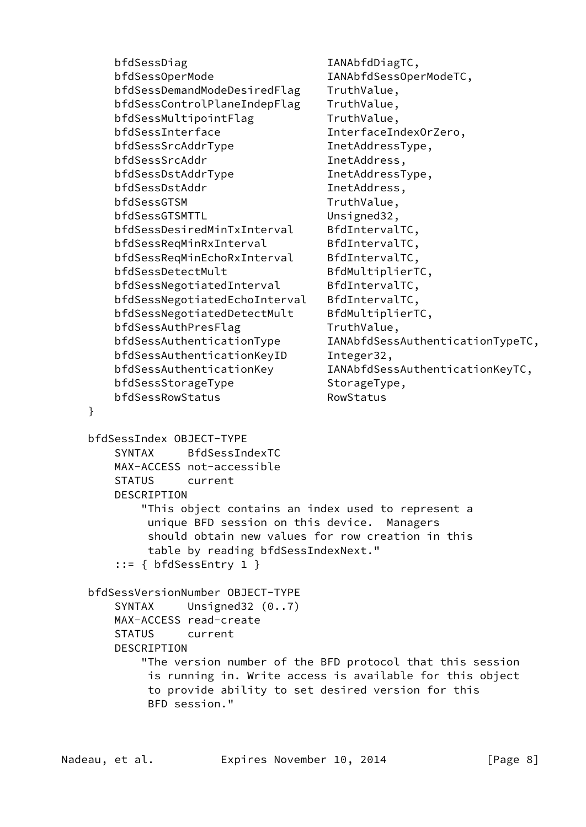bfdSessDiag IANAbfdDiagTC, bfdSessOperMode IANAbfdSessOperModeTC, bfdSessDemandModeDesiredFlag TruthValue, bfdSessControlPlaneIndepFlag TruthValue, bfdSessMultipointFlag TruthValue, bfdSessInterface InterfaceIndexOrZero, bfdSessSrcAddrType InetAddressType, bfdSessSrcAddr InetAddress, bfdSessDstAddrType InetAddressType, bfdSessDstAddr InetAddress, bfdSessGTSM TruthValue, bfdSessGTSMTTL Unsigned32, bfdSessDesiredMinTxInterval BfdIntervalTC, bfdSessReqMinRxInterval BfdIntervalTC, bfdSessReqMinEchoRxInterval BfdIntervalTC, bfdSessDetectMult
BfdMultiplierTC, bfdSessNegotiatedInterval BfdIntervalTC, bfdSessNegotiatedEchoInterval BfdIntervalTC, bfdSessNegotiatedDetectMult BfdMultiplierTC, bfdSessAuthPresFlag TruthValue, bfdSessAuthenticationType IANAbfdSessAuthenticationTypeTC, bfdSessAuthenticationKeyID Integer32, bfdSessAuthenticationKey IANAbfdSessAuthenticationKeyTC, bfdSessStorageType StorageType, bfdSessRowStatus RowStatus } bfdSessIndex OBJECT-TYPE SYNTAX BfdSessIndexTC MAX-ACCESS not-accessible STATUS current DESCRIPTION "This object contains an index used to represent a unique BFD session on this device. Managers should obtain new values for row creation in this table by reading bfdSessIndexNext." ::= { bfdSessEntry 1 } bfdSessVersionNumber OBJECT-TYPE SYNTAX Unsigned32 (0..7) MAX-ACCESS read-create STATUS current DESCRIPTION "The version number of the BFD protocol that this session is running in. Write access is available for this object to provide ability to set desired version for this BFD session."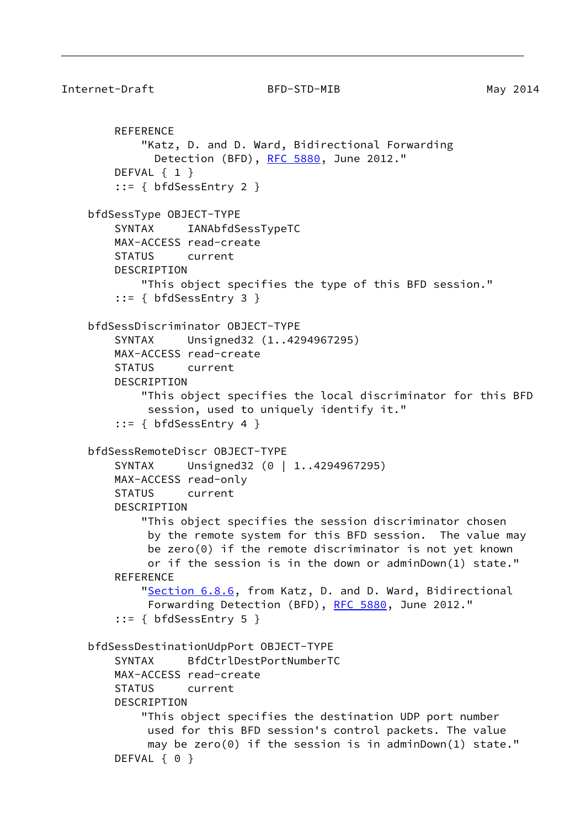```
Internet-Draft BFD-STD-MIB May 2014
        REFERENCE
            "Katz, D. and D. Ward, Bidirectional Forwarding
             RFC 5880, June 2012."
        DEFVAL { 1 }
        ::= { bfdSessEntry 2 }
    bfdSessType OBJECT-TYPE
        SYNTAX IANAbfdSessTypeTC
        MAX-ACCESS read-create
        STATUS current
        DESCRIPTION
            "This object specifies the type of this BFD session."
        ::= { bfdSessEntry 3 }
    bfdSessDiscriminator OBJECT-TYPE
        SYNTAX Unsigned32 (1..4294967295)
        MAX-ACCESS read-create
        STATUS current
        DESCRIPTION
            "This object specifies the local discriminator for this BFD
             session, used to uniquely identify it."
        ::= { bfdSessEntry 4 }
    bfdSessRemoteDiscr OBJECT-TYPE
       SYNTAX Unsigned32 (0 | 1..4294967295)
        MAX-ACCESS read-only
        STATUS current
        DESCRIPTION
            "This object specifies the session discriminator chosen
             by the remote system for this BFD session. The value may
             be zero(0) if the remote discriminator is not yet known
             or if the session is in the down or adminDown(1) state."
       REFERENCE
           "Section 6.8.6, from Katz, D. and D. Ward, Bidirectional
             RFC 5880, June 2012."
        ::= { bfdSessEntry 5 }
    bfdSessDestinationUdpPort OBJECT-TYPE
        SYNTAX BfdCtrlDestPortNumberTC
        MAX-ACCESS read-create
        STATUS current
        DESCRIPTION
            "This object specifies the destination UDP port number
             used for this BFD session's control packets. The value
             may be zero(0) if the session is in adminDown(1) state."
       DEFVAL { 0 }
```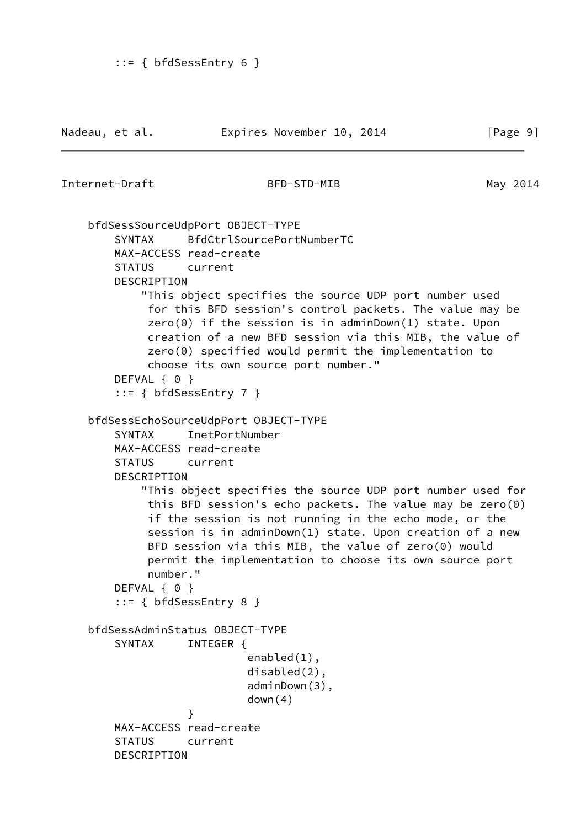```
Internet-Draft BFD-STD-MIB May 2014
     bfdSessSourceUdpPort OBJECT-TYPE
        SYNTAX BfdCtrlSourcePortNumberTC
        MAX-ACCESS read-create
        STATUS current
        DESCRIPTION
            "This object specifies the source UDP port number used
             for this BFD session's control packets. The value may be
             zero(0) if the session is in adminDown(1) state. Upon
             creation of a new BFD session via this MIB, the value of
             zero(0) specified would permit the implementation to
             choose its own source port number."
       DEFVAL { 0 }
         ::= { bfdSessEntry 7 }
     bfdSessEchoSourceUdpPort OBJECT-TYPE
        SYNTAX InetPortNumber
        MAX-ACCESS read-create
        STATUS current
        DESCRIPTION
            "This object specifies the source UDP port number used for
             this BFD session's echo packets. The value may be zero(0)
             if the session is not running in the echo mode, or the
             session is in adminDown(1) state. Upon creation of a new
             BFD session via this MIB, the value of zero(0) would
             permit the implementation to choose its own source port
             number."
       DEFVAL { 0 }
         ::= { bfdSessEntry 8 }
     bfdSessAdminStatus OBJECT-TYPE
       SYNTAX INTEGER {
                            enabled(1),
                            disabled(2),
                            adminDown(3),
                            down(4)
 }
        MAX-ACCESS read-create
        STATUS current
        DESCRIPTION
```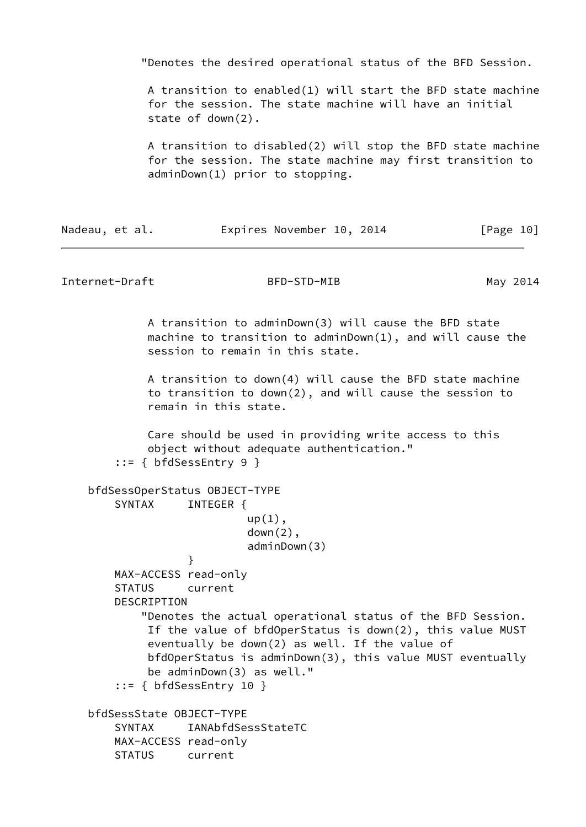"Denotes the desired operational status of the BFD Session. A transition to enabled(1) will start the BFD state machine for the session. The state machine will have an initial state of down(2). A transition to disabled(2) will stop the BFD state machine for the session. The state machine may first transition to adminDown(1) prior to stopping. Nadeau, et al. **Expires November 10, 2014** [Page 10] Internet-Draft BFD-STD-MIB May 2014 A transition to adminDown(3) will cause the BFD state machine to transition to adminDown(1), and will cause the session to remain in this state. A transition to down(4) will cause the BFD state machine to transition to down(2), and will cause the session to remain in this state. Care should be used in providing write access to this object without adequate authentication." ::= { bfdSessEntry 9 } bfdSessOperStatus OBJECT-TYPE SYNTAX INTEGER {  $up(1)$ , down(2), adminDown(3) } MAX-ACCESS read-only STATUS current DESCRIPTION "Denotes the actual operational status of the BFD Session. If the value of bfdOperStatus is down(2), this value MUST eventually be down(2) as well. If the value of bfdOperStatus is adminDown(3), this value MUST eventually be adminDown(3) as well." ::= { bfdSessEntry 10 } bfdSessState OBJECT-TYPE SYNTAX IANAbfdSessStateTC MAX-ACCESS read-only STATUS current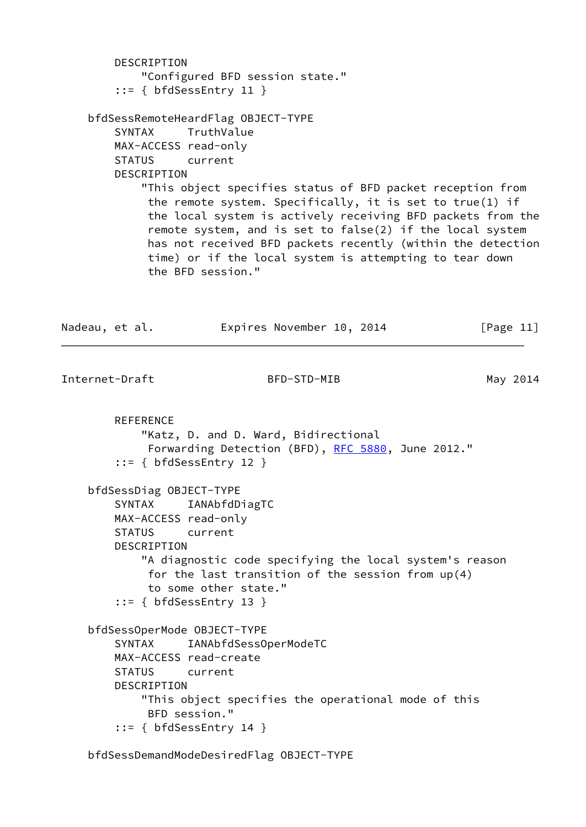```
 DESCRIPTION
            "Configured BFD session state."
        ::= { bfdSessEntry 11 }
    bfdSessRemoteHeardFlag OBJECT-TYPE
        SYNTAX TruthValue
        MAX-ACCESS read-only
        STATUS current
        DESCRIPTION
            "This object specifies status of BFD packet reception from
             the remote system. Specifically, it is set to true(1) if
             the local system is actively receiving BFD packets from the
             remote system, and is set to false(2) if the local system
             has not received BFD packets recently (within the detection
             time) or if the local system is attempting to tear down
             the BFD session."
Nadeau, et al. Expires November 10, 2014 [Page 11]
Internet-Draft BFD-STD-MIB May 2014
        REFERENCE
            "Katz, D. and D. Ward, Bidirectional
             RFC 5880, June 2012."
        ::= { bfdSessEntry 12 }
    bfdSessDiag OBJECT-TYPE
        SYNTAX IANAbfdDiagTC
        MAX-ACCESS read-only
        STATUS current
        DESCRIPTION
            "A diagnostic code specifying the local system's reason
             for the last transition of the session from up(4)
             to some other state."
        ::= { bfdSessEntry 13 }
    bfdSessOperMode OBJECT-TYPE
        SYNTAX IANAbfdSessOperModeTC
        MAX-ACCESS read-create
        STATUS current
        DESCRIPTION
            "This object specifies the operational mode of this
             BFD session."
        ::= { bfdSessEntry 14 }
```
bfdSessDemandModeDesiredFlag OBJECT-TYPE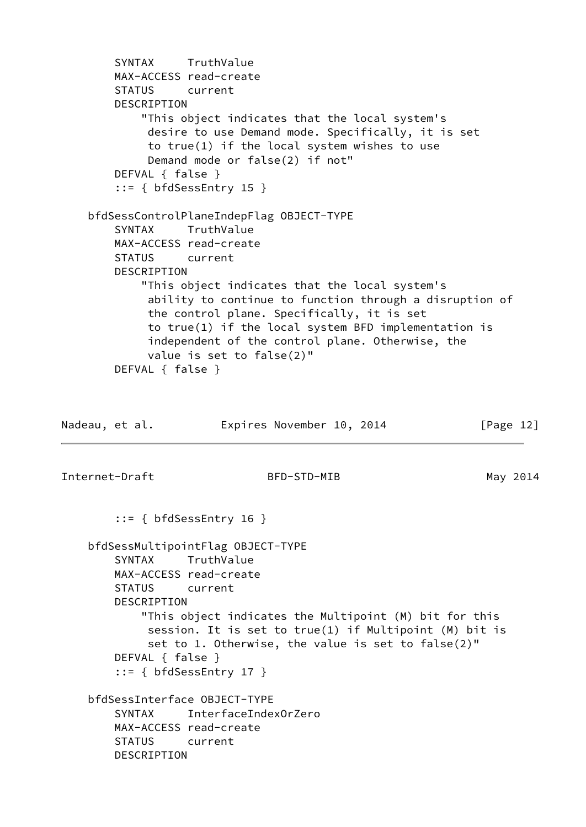```
 SYNTAX TruthValue
        MAX-ACCESS read-create
        STATUS current
        DESCRIPTION
            "This object indicates that the local system's
             desire to use Demand mode. Specifically, it is set
             to true(1) if the local system wishes to use
             Demand mode or false(2) if not"
        DEFVAL { false }
         ::= { bfdSessEntry 15 }
    bfdSessControlPlaneIndepFlag OBJECT-TYPE
        SYNTAX TruthValue
        MAX-ACCESS read-create
        STATUS current
        DESCRIPTION
            "This object indicates that the local system's
             ability to continue to function through a disruption of
             the control plane. Specifically, it is set
             to true(1) if the local system BFD implementation is
             independent of the control plane. Otherwise, the
             value is set to false(2)"
        DEFVAL { false }
Nadeau, et al. Expires November 10, 2014 [Page 12]
Internet-Draft BFD-STD-MIB May 2014
        ::= { bfdSessEntry 16 }
    bfdSessMultipointFlag OBJECT-TYPE
        SYNTAX TruthValue
        MAX-ACCESS read-create
        STATUS current
        DESCRIPTION
            "This object indicates the Multipoint (M) bit for this
             session. It is set to true(1) if Multipoint (M) bit is
             set to 1. Otherwise, the value is set to false(2)"
        DEFVAL { false }
       ::= { bfdSessEntry 17 }
     bfdSessInterface OBJECT-TYPE
        SYNTAX InterfaceIndexOrZero
        MAX-ACCESS read-create
        STATUS current
        DESCRIPTION
```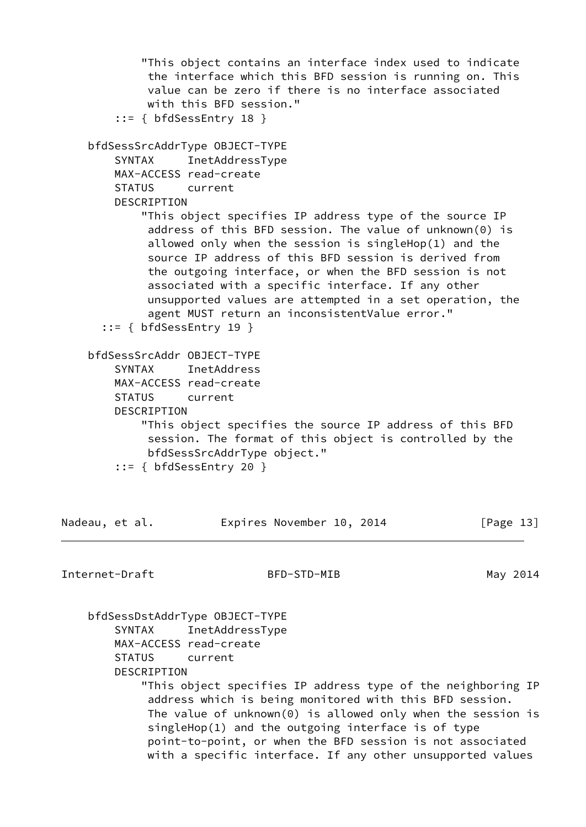```
 "This object contains an interface index used to indicate
             the interface which this BFD session is running on. This
             value can be zero if there is no interface associated
             with this BFD session."
         ::= { bfdSessEntry 18 }
     bfdSessSrcAddrType OBJECT-TYPE
        SYNTAX InetAddressType
        MAX-ACCESS read-create
        STATUS current
        DESCRIPTION
            "This object specifies IP address type of the source IP
             address of this BFD session. The value of unknown(0) is
             allowed only when the session is singleHop(1) and the
             source IP address of this BFD session is derived from
             the outgoing interface, or when the BFD session is not
             associated with a specific interface. If any other
             unsupported values are attempted in a set operation, the
             agent MUST return an inconsistentValue error."
       ::= { bfdSessEntry 19 }
    bfdSessSrcAddr OBJECT-TYPE
        SYNTAX InetAddress
        MAX-ACCESS read-create
        STATUS current
        DESCRIPTION
            "This object specifies the source IP address of this BFD
             session. The format of this object is controlled by the
             bfdSessSrcAddrType object."
         ::= { bfdSessEntry 20 }
Nadeau, et al. Expires November 10, 2014 [Page 13]
Internet-Draft BFD-STD-MIB May 2014
```
 bfdSessDstAddrType OBJECT-TYPE SYNTAX InetAddressType MAX-ACCESS read-create STATUS current DESCRIPTION "This object specifies IP address type of the neighboring IP address which is being monitored with this BFD session. The value of unknown(0) is allowed only when the session is singleHop(1) and the outgoing interface is of type point-to-point, or when the BFD session is not associated with a specific interface. If any other unsupported values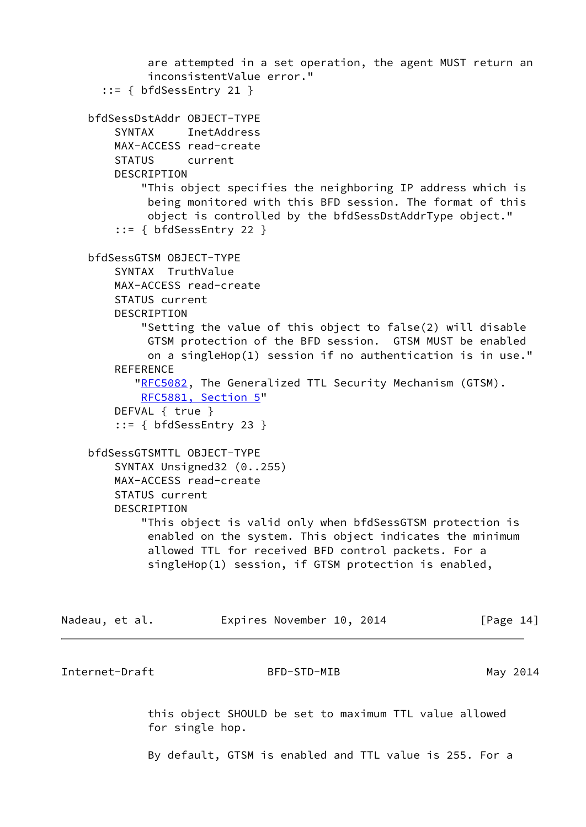```
 are attempted in a set operation, the agent MUST return an
              inconsistentValue error."
       ::= { bfdSessEntry 21 }
     bfdSessDstAddr OBJECT-TYPE
         SYNTAX InetAddress
         MAX-ACCESS read-create
         STATUS current
         DESCRIPTION
             "This object specifies the neighboring IP address which is
              being monitored with this BFD session. The format of this
              object is controlled by the bfdSessDstAddrType object."
         ::= { bfdSessEntry 22 }
     bfdSessGTSM OBJECT-TYPE
         SYNTAX TruthValue
         MAX-ACCESS read-create
         STATUS current
         DESCRIPTION
             "Setting the value of this object to false(2) will disable
              GTSM protection of the BFD session. GTSM MUST be enabled
              on a singleHop(1) session if no authentication is in use."
        REFERENCE
           "RFC5082, The Generalized TTL Security Mechanism (GTSM).
             RFC5881, Section 5"
         DEFVAL { true }
         ::= { bfdSessEntry 23 }
     bfdSessGTSMTTL OBJECT-TYPE
         SYNTAX Unsigned32 (0..255)
         MAX-ACCESS read-create
         STATUS current
         DESCRIPTION
             "This object is valid only when bfdSessGTSM protection is
              enabled on the system. This object indicates the minimum
              allowed TTL for received BFD control packets. For a
              singleHop(1) session, if GTSM protection is enabled,
Nadeau, et al. Expires November 10, 2014 [Page 14]
```
Internet-Draft BFD-STD-MIB May 2014

 this object SHOULD be set to maximum TTL value allowed for single hop.

By default, GTSM is enabled and TTL value is 255. For a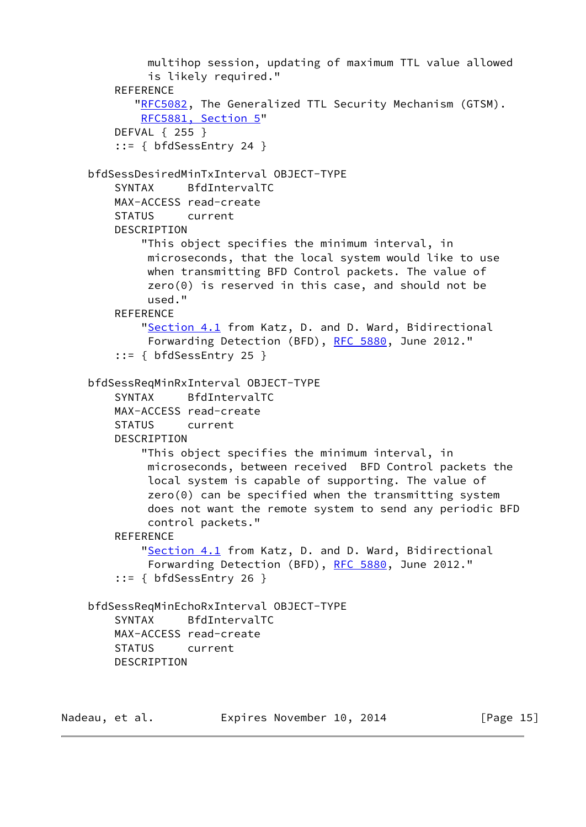```
 multihop session, updating of maximum TTL value allowed
          is likely required."
   REFERENCE
       "RFC5082, The Generalized TTL Security Mechanism (GTSM).
        RFC5881, Section 5"
    DEFVAL { 255 }
     ::= { bfdSessEntry 24 }
 bfdSessDesiredMinTxInterval OBJECT-TYPE
     SYNTAX BfdIntervalTC
    MAX-ACCESS read-create
    STATUS current
    DESCRIPTION
         "This object specifies the minimum interval, in
         microseconds, that the local system would like to use
         when transmitting BFD Control packets. The value of
         zero(0) is reserved in this case, and should not be
         used."
    REFERENCE
         "Section 4.1 from Katz, D. and D. Ward, Bidirectional
         Forwarding Detection (BFD), RFC 5880, June 2012."
     ::= { bfdSessEntry 25 }
 bfdSessReqMinRxInterval OBJECT-TYPE
     SYNTAX BfdIntervalTC
    MAX-ACCESS read-create
    STATUS current
    DESCRIPTION
         "This object specifies the minimum interval, in
         microseconds, between received BFD Control packets the
         local system is capable of supporting. The value of
         zero(0) can be specified when the transmitting system
         does not want the remote system to send any periodic BFD
         control packets."
   REFERENCE
        "Section 4.1 from Katz, D. and D. Ward, Bidirectional
          RFC 5880, June 2012."
     ::= { bfdSessEntry 26 }
 bfdSessReqMinEchoRxInterval OBJECT-TYPE
     SYNTAX BfdIntervalTC
    MAX-ACCESS read-create
    STATUS current
    DESCRIPTION
```
Nadeau, et al. **Expires November 10, 2014** [Page 15]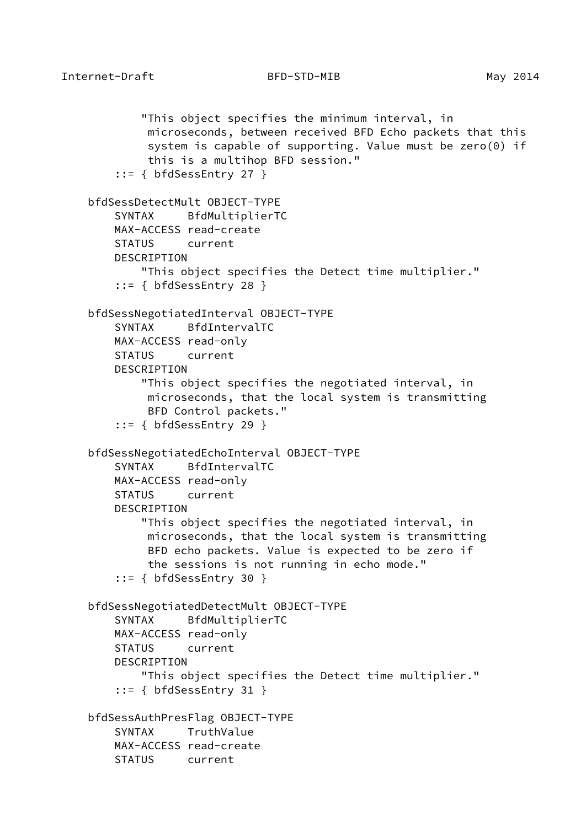```
 "This object specifies the minimum interval, in
          microseconds, between received BFD Echo packets that this
          system is capable of supporting. Value must be zero(0) if
          this is a multihop BFD session."
     ::= { bfdSessEntry 27 }
 bfdSessDetectMult OBJECT-TYPE
     SYNTAX BfdMultiplierTC
    MAX-ACCESS read-create
     STATUS current
    DESCRIPTION
         "This object specifies the Detect time multiplier."
     ::= { bfdSessEntry 28 }
 bfdSessNegotiatedInterval OBJECT-TYPE
     SYNTAX BfdIntervalTC
     MAX-ACCESS read-only
     STATUS current
     DESCRIPTION
         "This object specifies the negotiated interval, in
          microseconds, that the local system is transmitting
          BFD Control packets."
     ::= { bfdSessEntry 29 }
 bfdSessNegotiatedEchoInterval OBJECT-TYPE
     SYNTAX BfdIntervalTC
    MAX-ACCESS read-only
     STATUS current
     DESCRIPTION
         "This object specifies the negotiated interval, in
          microseconds, that the local system is transmitting
          BFD echo packets. Value is expected to be zero if
          the sessions is not running in echo mode."
     ::= { bfdSessEntry 30 }
 bfdSessNegotiatedDetectMult OBJECT-TYPE
     SYNTAX BfdMultiplierTC
     MAX-ACCESS read-only
     STATUS current
     DESCRIPTION
         "This object specifies the Detect time multiplier."
     ::= { bfdSessEntry 31 }
 bfdSessAuthPresFlag OBJECT-TYPE
     SYNTAX TruthValue
     MAX-ACCESS read-create
     STATUS current
```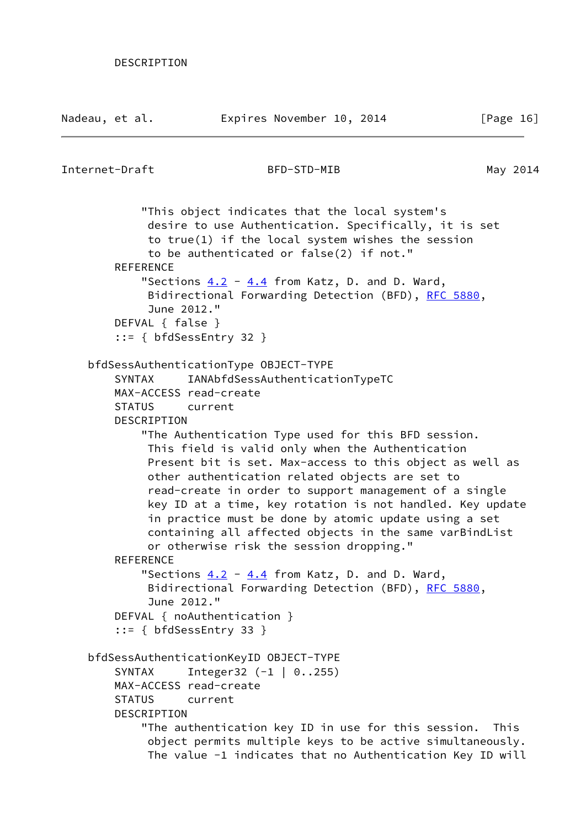Nadeau, et al. Expires November 10, 2014 [Page 16]

```
Internet-Draft BFD-STD-MIB May 2014
            "This object indicates that the local system's
             desire to use Authentication. Specifically, it is set
             to true(1) if the local system wishes the session
             to be authenticated or false(2) if not."
       REFERENCE
           "Sections 4.2 4.4 from Katz, D. and D. Ward,
            RFC 5880,
             June 2012."
        DEFVAL { false }
        ::= { bfdSessEntry 32 }
    bfdSessAuthenticationType OBJECT-TYPE
        SYNTAX IANAbfdSessAuthenticationTypeTC
        MAX-ACCESS read-create
        STATUS current
        DESCRIPTION
            "The Authentication Type used for this BFD session.
             This field is valid only when the Authentication
             Present bit is set. Max-access to this object as well as
             other authentication related objects are set to
             read-create in order to support management of a single
             key ID at a time, key rotation is not handled. Key update
             in practice must be done by atomic update using a set
             containing all affected objects in the same varBindList
             or otherwise risk the session dropping."
       REFERENCE
           "Sections 4.2 4.4 from Katz, D. and D. Ward,
            RFC 5880,
             June 2012."
       DEFVAL { noAuthentication }
        ::= { bfdSessEntry 33 }
    bfdSessAuthenticationKeyID OBJECT-TYPE
       SYNTAX Integer32 (-1 | 0..255)
        MAX-ACCESS read-create
        STATUS current
        DESCRIPTION
            "The authentication key ID in use for this session. This
             object permits multiple keys to be active simultaneously.
             The value -1 indicates that no Authentication Key ID will
```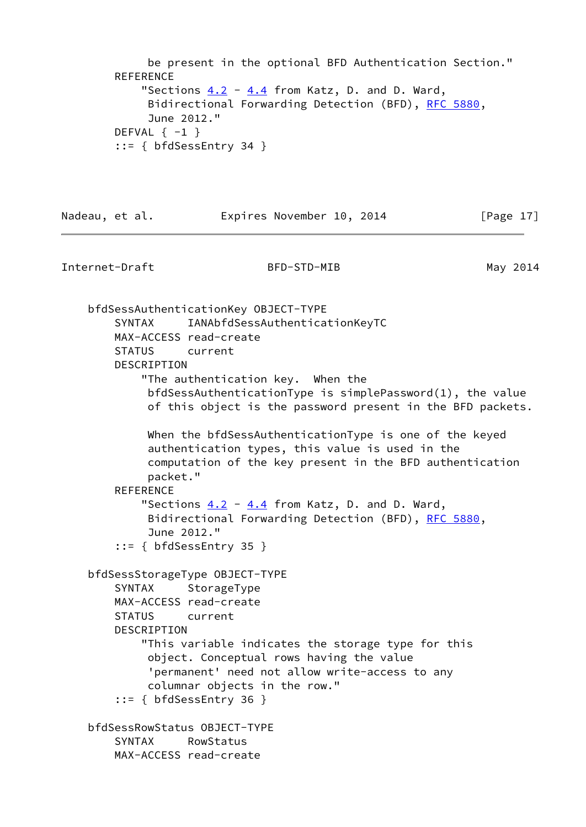```
 be present in the optional BFD Authentication Section."
REFERENCE
   "Sections 4.2 4.4 from Katz, D. and D. Ward,
    RFC 5880,
     June 2012."
DEFVAL \{-1\} ::= { bfdSessEntry 34 }
```
Internet-Draft BFD-STD-MIB May 2014

Nadeau, et al. **Expires November 10, 2014** [Page 17]

 bfdSessAuthenticationKey OBJECT-TYPE SYNTAX IANAbfdSessAuthenticationKeyTC MAX-ACCESS read-create STATUS current DESCRIPTION "The authentication key. When the bfdSessAuthenticationType is simplePassword(1), the value of this object is the password present in the BFD packets. When the bfdSessAuthenticationType is one of the keyed authentication types, this value is used in the computation of the key present in the BFD authentication packet." REFERENCE "Sections  $4.2 - 4.4$  $4.2 - 4.4$  $4.2 - 4.4$  from Katz, D. and D. Ward, Bidirectional Forwarding Detection (BFD), [RFC 5880,](https://datatracker.ietf.org/doc/pdf/rfc5880) June 2012." ::= { bfdSessEntry 35 } bfdSessStorageType OBJECT-TYPE SYNTAX StorageType MAX-ACCESS read-create STATUS current DESCRIPTION "This variable indicates the storage type for this object. Conceptual rows having the value 'permanent' need not allow write-access to any columnar objects in the row." ::= { bfdSessEntry 36 } bfdSessRowStatus OBJECT-TYPE SYNTAX RowStatus MAX-ACCESS read-create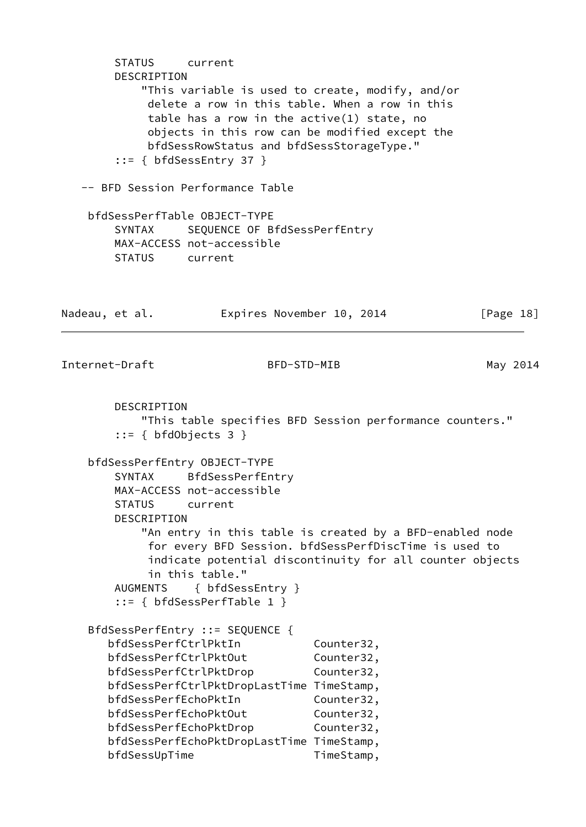STATUS current DESCRIPTION "This variable is used to create, modify, and/or delete a row in this table. When a row in this table has a row in the active(1) state, no objects in this row can be modified except the bfdSessRowStatus and bfdSessStorageType." ::= { bfdSessEntry 37 } -- BFD Session Performance Table bfdSessPerfTable OBJECT-TYPE SYNTAX SEQUENCE OF BfdSessPerfEntry MAX-ACCESS not-accessible STATUS current Nadeau, et al. **Expires November 10, 2014** [Page 18] Internet-Draft BFD-STD-MIB May 2014 DESCRIPTION "This table specifies BFD Session performance counters."  $::=$  { bfdObjects 3 } bfdSessPerfEntry OBJECT-TYPE SYNTAX BfdSessPerfEntry MAX-ACCESS not-accessible STATUS current DESCRIPTION "An entry in this table is created by a BFD-enabled node for every BFD Session. bfdSessPerfDiscTime is used to indicate potential discontinuity for all counter objects in this table." AUGMENTS { bfdSessEntry } ::= { bfdSessPerfTable 1 } BfdSessPerfEntry ::= SEQUENCE { bfdSessPerfCtrlPktIn Counter32, bfdSessPerfCtrlPktOut Counter32, bfdSessPerfCtrlPktDrop Counter32, bfdSessPerfCtrlPktDropLastTime TimeStamp, bfdSessPerfEchoPktIn Counter32, bfdSessPerfEchoPktOut Counter32, bfdSessPerfEchoPktDrop Counter32, bfdSessPerfEchoPktDropLastTime TimeStamp, bfdSessUpTime TimeStamp,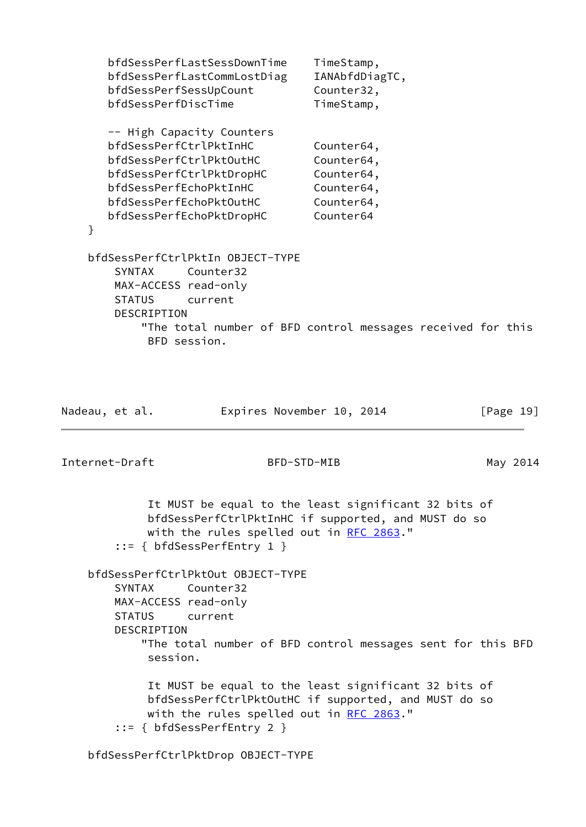```
 bfdSessPerfLastSessDownTime TimeStamp,
   bfdSessPerfLastCommLostDiag IANAbfdDiagTC,
  bfdSessPerfSessUpCount Counter32,
  bfdSessPerfDiscTime TimeStamp,
   -- High Capacity Counters
   bfdSessPerfCtrlPktInHC Counter64,
  bfdSessPerfCtrlPktOutHC Counter64,
  bfdSessPerfCtrlPktDropHC Counter64,
   bfdSessPerfEchoPktInHC Counter64,
  bfdSessPerfEchoPktOutHC Counter64,
   bfdSessPerfEchoPktDropHC Counter64
 }
 bfdSessPerfCtrlPktIn OBJECT-TYPE
    SYNTAX Counter32
    MAX-ACCESS read-only
    STATUS current
    DESCRIPTION
        "The total number of BFD control messages received for this
         BFD session.
```

| Nadeau, et al. | Expires November 10, 2014 | $\lceil \text{Page } 19 \rceil$ |
|----------------|---------------------------|---------------------------------|
|                |                           |                                 |
| Internet-Draft | BFD-STD-MIB               | May 2014                        |

 It MUST be equal to the least significant 32 bits of bfdSessPerfCtrlPktInHC if supported, and MUST do so with the rules spelled out in [RFC 2863](https://datatracker.ietf.org/doc/pdf/rfc2863)." ::= { bfdSessPerfEntry 1 }

 bfdSessPerfCtrlPktOut OBJECT-TYPE SYNTAX Counter32 MAX-ACCESS read-only STATUS current DESCRIPTION "The total number of BFD control messages sent for this BFD session. It MUST be equal to the least significant 32 bits of bfdSessPerfCtrlPktOutHC if supported, and MUST do so with the rules spelled out in [RFC 2863](https://datatracker.ietf.org/doc/pdf/rfc2863)." ::= { bfdSessPerfEntry 2 }

bfdSessPerfCtrlPktDrop OBJECT-TYPE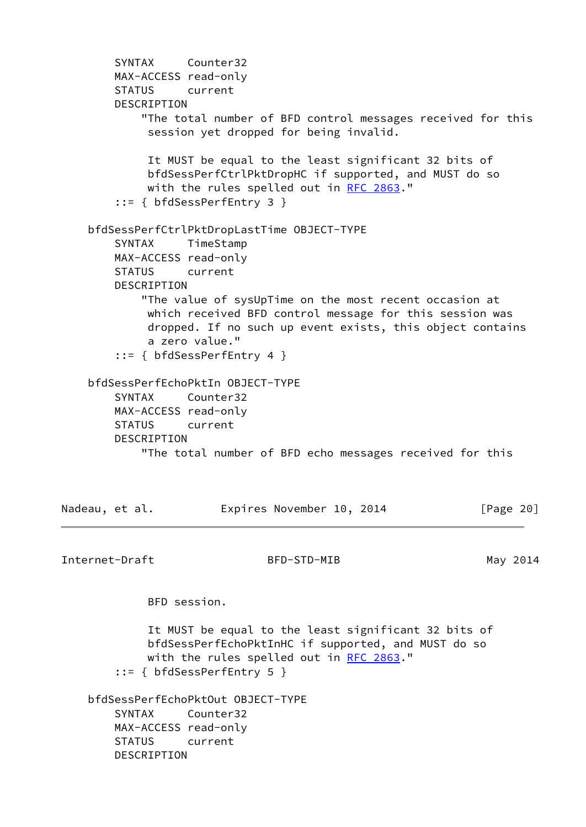```
 SYNTAX Counter32
        MAX-ACCESS read-only
        STATUS current
        DESCRIPTION
            "The total number of BFD control messages received for this
             session yet dropped for being invalid.
             It MUST be equal to the least significant 32 bits of
             bfdSessPerfCtrlPktDropHC if supported, and MUST do so
             with the rules spelled out in RFC 2863."
        ::= { bfdSessPerfEntry 3 }
    bfdSessPerfCtrlPktDropLastTime OBJECT-TYPE
        SYNTAX TimeStamp
        MAX-ACCESS read-only
        STATUS current
        DESCRIPTION
            "The value of sysUpTime on the most recent occasion at
             which received BFD control message for this session was
             dropped. If no such up event exists, this object contains
             a zero value."
        ::= { bfdSessPerfEntry 4 }
    bfdSessPerfEchoPktIn OBJECT-TYPE
        SYNTAX Counter32
        MAX-ACCESS read-only
        STATUS current
        DESCRIPTION
            "The total number of BFD echo messages received for this
Nadeau, et al. Expires November 10, 2014 [Page 20]
Internet-Draft BFD-STD-MIB May 2014
             BFD session.
             It MUST be equal to the least significant 32 bits of
             bfdSessPerfEchoPktInHC if supported, and MUST do so
             RFC 2863."
        ::= { bfdSessPerfEntry 5 }
    bfdSessPerfEchoPktOut OBJECT-TYPE
        SYNTAX Counter32
        MAX-ACCESS read-only
        STATUS current
        DESCRIPTION
```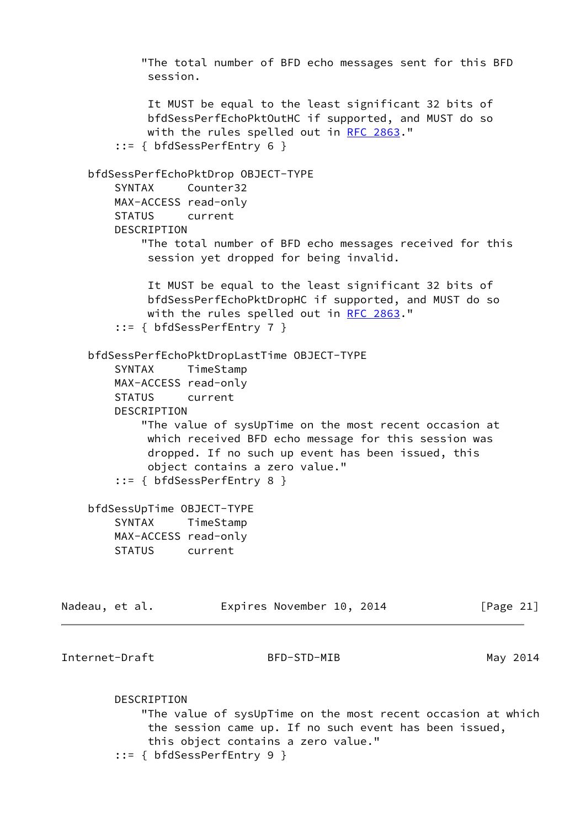"The total number of BFD echo messages sent for this BFD session. It MUST be equal to the least significant 32 bits of bfdSessPerfEchoPktOutHC if supported, and MUST do so with the rules spelled out in [RFC 2863](https://datatracker.ietf.org/doc/pdf/rfc2863)." ::= { bfdSessPerfEntry 6 } bfdSessPerfEchoPktDrop OBJECT-TYPE SYNTAX Counter32 MAX-ACCESS read-only STATUS current DESCRIPTION "The total number of BFD echo messages received for this session yet dropped for being invalid. It MUST be equal to the least significant 32 bits of bfdSessPerfEchoPktDropHC if supported, and MUST do so with the rules spelled out in [RFC 2863](https://datatracker.ietf.org/doc/pdf/rfc2863)." ::= { bfdSessPerfEntry 7 } bfdSessPerfEchoPktDropLastTime OBJECT-TYPE SYNTAX TimeStamp MAX-ACCESS read-only STATUS current DESCRIPTION "The value of sysUpTime on the most recent occasion at which received BFD echo message for this session was dropped. If no such up event has been issued, this object contains a zero value." ::= { bfdSessPerfEntry 8 } bfdSessUpTime OBJECT-TYPE SYNTAX TimeStamp MAX-ACCESS read-only STATUS current Nadeau, et al. Expires November 10, 2014 [Page 21] Internet-Draft BFD-STD-MIB May 2014 DESCRIPTION "The value of sysUpTime on the most recent occasion at which the session came up. If no such event has been issued, this object contains a zero value." ::= { bfdSessPerfEntry 9 }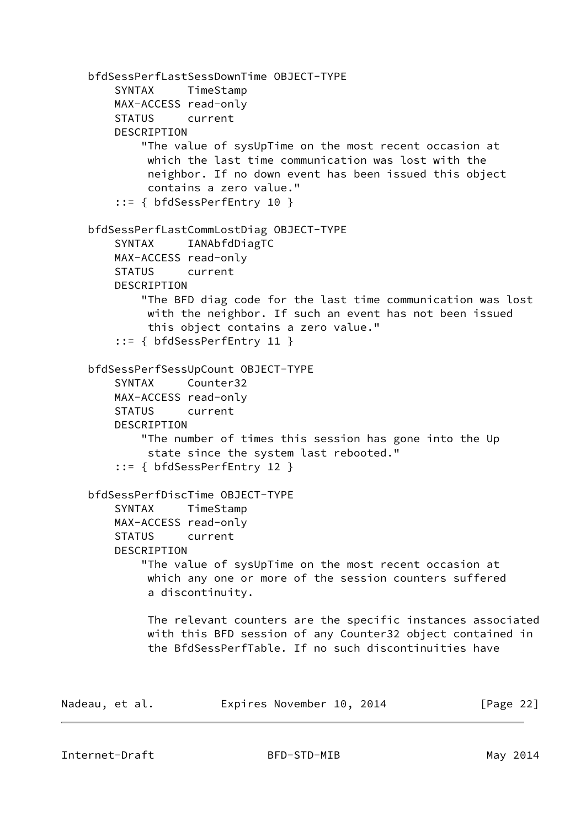```
 bfdSessPerfLastSessDownTime OBJECT-TYPE
         SYNTAX TimeStamp
         MAX-ACCESS read-only
         STATUS current
         DESCRIPTION
             "The value of sysUpTime on the most recent occasion at
             which the last time communication was lost with the
             neighbor. If no down event has been issued this object
             contains a zero value."
         ::= { bfdSessPerfEntry 10 }
     bfdSessPerfLastCommLostDiag OBJECT-TYPE
         SYNTAX IANAbfdDiagTC
        MAX-ACCESS read-only
         STATUS current
         DESCRIPTION
             "The BFD diag code for the last time communication was lost
             with the neighbor. If such an event has not been issued
             this object contains a zero value."
         ::= { bfdSessPerfEntry 11 }
     bfdSessPerfSessUpCount OBJECT-TYPE
         SYNTAX Counter32
         MAX-ACCESS read-only
         STATUS current
         DESCRIPTION
             "The number of times this session has gone into the Up
              state since the system last rebooted."
         ::= { bfdSessPerfEntry 12 }
     bfdSessPerfDiscTime OBJECT-TYPE
         SYNTAX TimeStamp
        MAX-ACCESS read-only
         STATUS current
         DESCRIPTION
             "The value of sysUpTime on the most recent occasion at
             which any one or more of the session counters suffered
             a discontinuity.
             The relevant counters are the specific instances associated
             with this BFD session of any Counter32 object contained in
              the BfdSessPerfTable. If no such discontinuities have
Nadeau, et al. Expires November 10, 2014 [Page 22]
```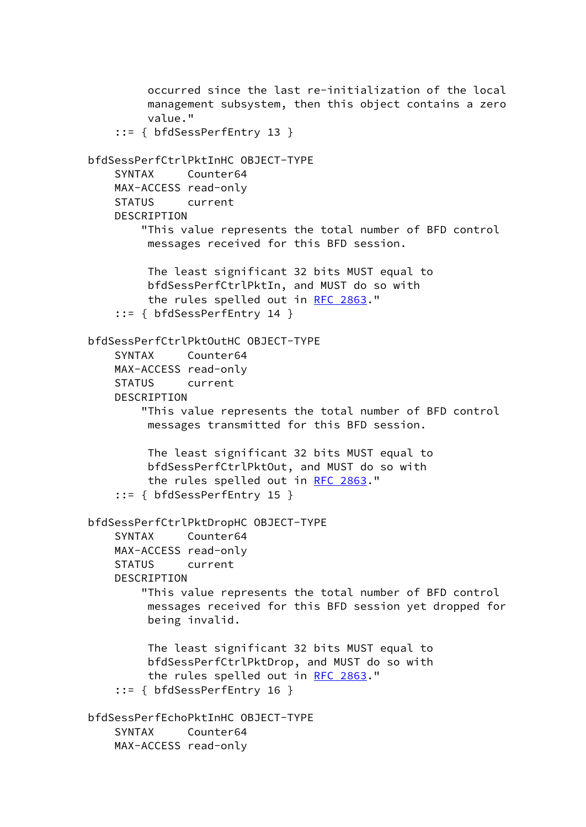occurred since the last re-initialization of the local management subsystem, then this object contains a zero value." ::= { bfdSessPerfEntry 13 } bfdSessPerfCtrlPktInHC OBJECT-TYPE SYNTAX Counter64 MAX-ACCESS read-only STATUS current DESCRIPTION "This value represents the total number of BFD control messages received for this BFD session. The least significant 32 bits MUST equal to bfdSessPerfCtrlPktIn, and MUST do so with the rules spelled out in [RFC 2863.](https://datatracker.ietf.org/doc/pdf/rfc2863)" ::= { bfdSessPerfEntry 14 } bfdSessPerfCtrlPktOutHC OBJECT-TYPE SYNTAX Counter64 MAX-ACCESS read-only STATUS current DESCRIPTION "This value represents the total number of BFD control messages transmitted for this BFD session. The least significant 32 bits MUST equal to bfdSessPerfCtrlPktOut, and MUST do so with the rules spelled out in [RFC 2863.](https://datatracker.ietf.org/doc/pdf/rfc2863)" ::= { bfdSessPerfEntry 15 } bfdSessPerfCtrlPktDropHC OBJECT-TYPE SYNTAX Counter64 MAX-ACCESS read-only STATUS current DESCRIPTION "This value represents the total number of BFD control messages received for this BFD session yet dropped for being invalid. The least significant 32 bits MUST equal to bfdSessPerfCtrlPktDrop, and MUST do so with the rules spelled out in [RFC 2863.](https://datatracker.ietf.org/doc/pdf/rfc2863)" ::= { bfdSessPerfEntry 16 } bfdSessPerfEchoPktInHC OBJECT-TYPE SYNTAX Counter64 MAX-ACCESS read-only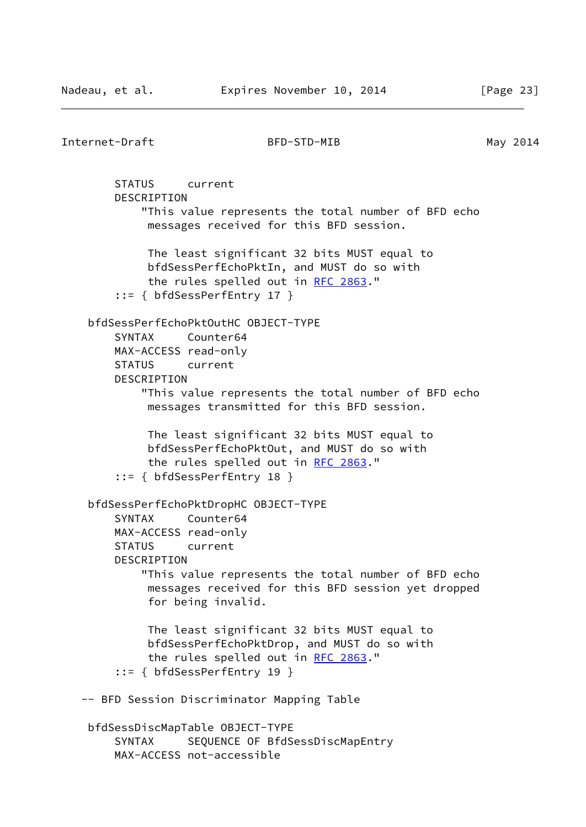Internet-Draft BFD-STD-MIB May 2014 STATUS current DESCRIPTION "This value represents the total number of BFD echo messages received for this BFD session. The least significant 32 bits MUST equal to bfdSessPerfEchoPktIn, and MUST do so with the rules spelled out in [RFC 2863.](https://datatracker.ietf.org/doc/pdf/rfc2863)" ::= { bfdSessPerfEntry 17 } bfdSessPerfEchoPktOutHC OBJECT-TYPE SYNTAX Counter64 MAX-ACCESS read-only STATUS current DESCRIPTION "This value represents the total number of BFD echo messages transmitted for this BFD session. The least significant 32 bits MUST equal to bfdSessPerfEchoPktOut, and MUST do so with the rules spelled out in [RFC 2863.](https://datatracker.ietf.org/doc/pdf/rfc2863)" ::= { bfdSessPerfEntry 18 } bfdSessPerfEchoPktDropHC OBJECT-TYPE SYNTAX Counter64 MAX-ACCESS read-only STATUS current DESCRIPTION "This value represents the total number of BFD echo messages received for this BFD session yet dropped for being invalid. The least significant 32 bits MUST equal to bfdSessPerfEchoPktDrop, and MUST do so with the rules spelled out in [RFC 2863.](https://datatracker.ietf.org/doc/pdf/rfc2863)" ::= { bfdSessPerfEntry 19 } -- BFD Session Discriminator Mapping Table bfdSessDiscMapTable OBJECT-TYPE SYNTAX SEQUENCE OF BfdSessDiscMapEntry MAX-ACCESS not-accessible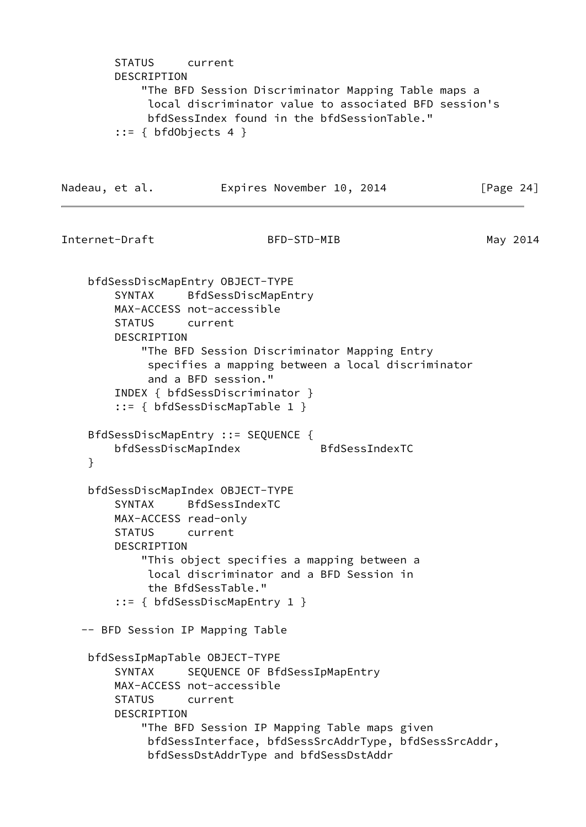```
 STATUS current
        DESCRIPTION
            "The BFD Session Discriminator Mapping Table maps a
             local discriminator value to associated BFD session's
             bfdSessIndex found in the bfdSessionTable."
       ::= { bfdObjects 4 }
Nadeau, et al. Expires November 10, 2014 [Page 24]
Internet-Draft BFD-STD-MIB May 2014
    bfdSessDiscMapEntry OBJECT-TYPE
        SYNTAX BfdSessDiscMapEntry
        MAX-ACCESS not-accessible
        STATUS current
        DESCRIPTION
            "The BFD Session Discriminator Mapping Entry
             specifies a mapping between a local discriminator
             and a BFD session."
        INDEX { bfdSessDiscriminator }
        ::= { bfdSessDiscMapTable 1 }
    BfdSessDiscMapEntry ::= SEQUENCE {
        bfdSessDiscMapIndex BfdSessIndexTC
    }
    bfdSessDiscMapIndex OBJECT-TYPE
        SYNTAX BfdSessIndexTC
        MAX-ACCESS read-only
        STATUS current
        DESCRIPTION
            "This object specifies a mapping between a
             local discriminator and a BFD Session in
             the BfdSessTable."
        ::= { bfdSessDiscMapEntry 1 }
   -- BFD Session IP Mapping Table
    bfdSessIpMapTable OBJECT-TYPE
       SYNTAX SEQUENCE OF BfdSessIpMapEntry
        MAX-ACCESS not-accessible
        STATUS current
        DESCRIPTION
            "The BFD Session IP Mapping Table maps given
             bfdSessInterface, bfdSessSrcAddrType, bfdSessSrcAddr,
             bfdSessDstAddrType and bfdSessDstAddr
```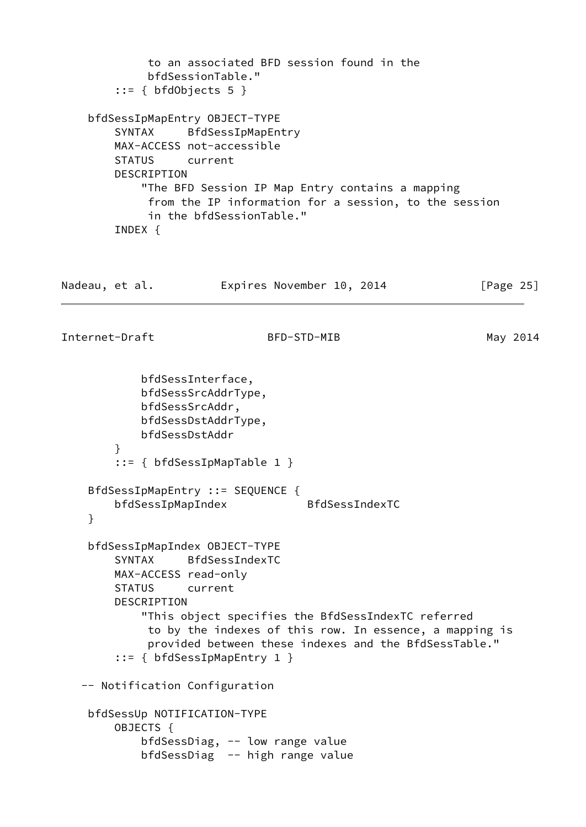```
 to an associated BFD session found in the
             bfdSessionTable."
       ::= { bfdObjects 5 }
    bfdSessIpMapEntry OBJECT-TYPE
        SYNTAX BfdSessIpMapEntry
        MAX-ACCESS not-accessible
        STATUS current
        DESCRIPTION
            "The BFD Session IP Map Entry contains a mapping
             from the IP information for a session, to the session
             in the bfdSessionTable."
        INDEX {
Nadeau, et al. Expires November 10, 2014 [Page 25]
Internet-Draft BFD-STD-MIB May 2014
            bfdSessInterface,
            bfdSessSrcAddrType,
            bfdSessSrcAddr,
            bfdSessDstAddrType,
            bfdSessDstAddr
 }
        ::= { bfdSessIpMapTable 1 }
    BfdSessIpMapEntry ::= SEQUENCE {
        bfdSessIpMapIndex BfdSessIndexTC
    }
    bfdSessIpMapIndex OBJECT-TYPE
        SYNTAX BfdSessIndexTC
        MAX-ACCESS read-only
        STATUS current
        DESCRIPTION
            "This object specifies the BfdSessIndexTC referred
             to by the indexes of this row. In essence, a mapping is
             provided between these indexes and the BfdSessTable."
        ::= { bfdSessIpMapEntry 1 }
   -- Notification Configuration
    bfdSessUp NOTIFICATION-TYPE
        OBJECTS {
            bfdSessDiag, -- low range value
            bfdSessDiag -- high range value
```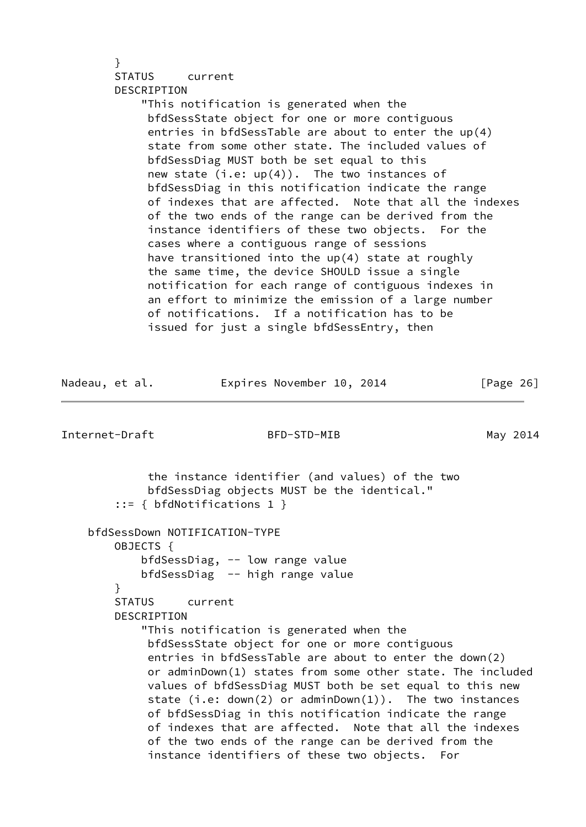# } STATUS current DESCRIPTION

 "This notification is generated when the bfdSessState object for one or more contiguous entries in bfdSessTable are about to enter the up(4) state from some other state. The included values of bfdSessDiag MUST both be set equal to this new state  $(i.e: up(4))$ . The two instances of bfdSessDiag in this notification indicate the range of indexes that are affected. Note that all the indexes of the two ends of the range can be derived from the instance identifiers of these two objects. For the cases where a contiguous range of sessions have transitioned into the up(4) state at roughly the same time, the device SHOULD issue a single notification for each range of contiguous indexes in an effort to minimize the emission of a large number of notifications. If a notification has to be issued for just a single bfdSessEntry, then

| Internet-Draft | BFD-STD-MIB                                                                                                                                                                                                                                                                                                                                                                                                                                                                                                                                                                                                                                                                                                            | May 2014 |
|----------------|------------------------------------------------------------------------------------------------------------------------------------------------------------------------------------------------------------------------------------------------------------------------------------------------------------------------------------------------------------------------------------------------------------------------------------------------------------------------------------------------------------------------------------------------------------------------------------------------------------------------------------------------------------------------------------------------------------------------|----------|
|                | the instance identifier (and values) of the two<br>bfdSessDiag objects MUST be the identical."<br>$::= \{ bfdNotifications 1 \}$                                                                                                                                                                                                                                                                                                                                                                                                                                                                                                                                                                                       |          |
| OBJECTS {<br>ł | bfdSessDown NOTIFICATION-TYPE<br>bfdSessDiag, -- low range value<br>bfdSessDiag -- high range value<br>STATUS current<br><b>DESCRIPTION</b><br>"This notification is generated when the<br>bfdSessState object for one or more contiguous<br>entries in bfdSessTable are about to enter the down(2)<br>or adminDown(1) states from some other state. The included<br>values of bfdSessDiag MUST both be set equal to this new<br>state (i.e: $down(2)$ or $adm(1))$ . The two instances<br>of bfdSessDiag in this notification indicate the range<br>of indexes that are affected. Note that all the indexes<br>of the two ends of the range can be derived from the<br>instance identifiers of these two objects. For |          |

Nadeau, et al. **Expires November 10, 2014** [Page 26]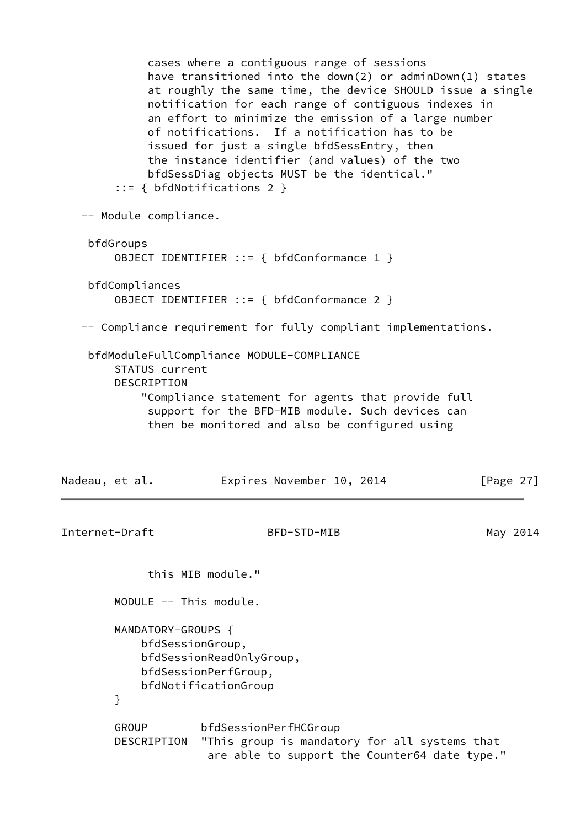cases where a contiguous range of sessions have transitioned into the down(2) or adminDown(1) states at roughly the same time, the device SHOULD issue a single notification for each range of contiguous indexes in an effort to minimize the emission of a large number of notifications. If a notification has to be issued for just a single bfdSessEntry, then the instance identifier (and values) of the two bfdSessDiag objects MUST be the identical." ::= { bfdNotifications 2 } -- Module compliance. bfdGroups OBJECT IDENTIFIER ::= { bfdConformance 1 } bfdCompliances OBJECT IDENTIFIER ::= { bfdConformance 2 } -- Compliance requirement for fully compliant implementations. bfdModuleFullCompliance MODULE-COMPLIANCE STATUS current DESCRIPTION "Compliance statement for agents that provide full support for the BFD-MIB module. Such devices can then be monitored and also be configured using Nadeau, et al. **Expires November 10, 2014** [Page 27] Internet-Draft BFD-STD-MIB May 2014 this MIB module." MODULE -- This module. MANDATORY-GROUPS { bfdSessionGroup, bfdSessionReadOnlyGroup, bfdSessionPerfGroup, bfdNotificationGroup } GROUP bfdSessionPerfHCGroup DESCRIPTION "This group is mandatory for all systems that are able to support the Counter64 date type."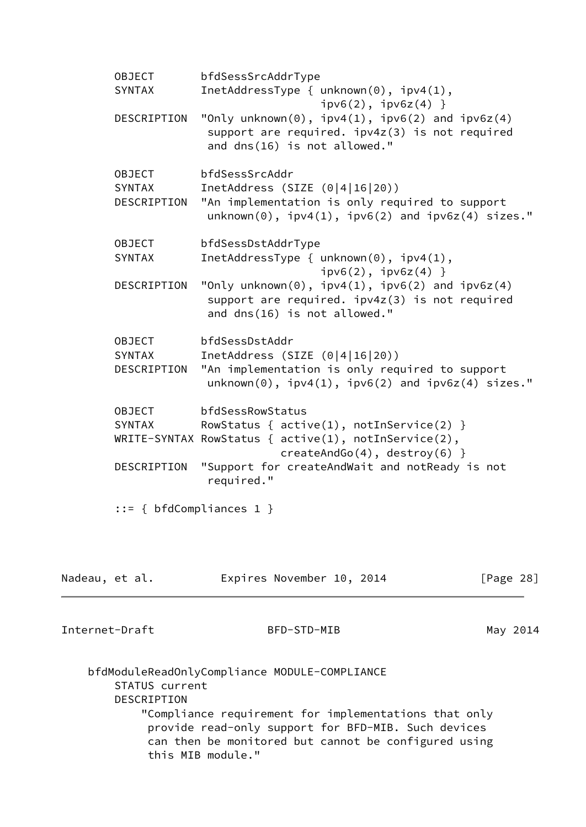OBJECT bfdSessSrcAddrType SYNTAX InetAddressType { unknown(0), ipv4(1),  $ipv6(2)$ ,  $ipv6z(4)$  } DESCRIPTION "Only unknown(0),  $ipv4(1)$ ,  $ipv6(2)$  and  $ipv6z(4)$  support are required. ipv4z(3) is not required and dns(16) is not allowed." OBJECT bfdSessSrcAddr SYNTAX InetAddress (SIZE (0|4|16|20)) DESCRIPTION "An implementation is only required to support  $unknown(0)$ ,  $ipv4(1)$ ,  $ipv6(2)$  and  $ipv6z(4)$  sizes." OBJECT bfdSessDstAddrType SYNTAX InetAddressType { unknown(0), ipv4(1),  $ipv6(2)$ ,  $ipv6z(4)$  } DESCRIPTION "Only unknown(0), ipv4(1), ipv6(2) and ipv6z(4) support are required. ipv4z(3) is not required and dns(16) is not allowed." OBJECT bfdSessDstAddr SYNTAX InetAddress (SIZE (0|4|16|20)) DESCRIPTION "An implementation is only required to support  $unknown(0)$ ,  $ipv4(1)$ ,  $ipv6(2)$  and  $ipv6z(4)$  sizes." OBJECT bfdSessRowStatus SYNTAX RowStatus {  $active(1)$ ,  $notInService(2)$  } WRITE-SYNTAX RowStatus { active(1), notInService(2), createAndGo(4), destroy(6) } DESCRIPTION "Support for createAndWait and notReady is not required." ::= { bfdCompliances 1 } Nadeau, et al. **Expires November 10, 2014** [Page 28] Internet-Draft BFD-STD-MIB May 2014 bfdModuleReadOnlyCompliance MODULE-COMPLIANCE STATUS current DESCRIPTION "Compliance requirement for implementations that only provide read-only support for BFD-MIB. Such devices

can then be monitored but cannot be configured using

this MIB module."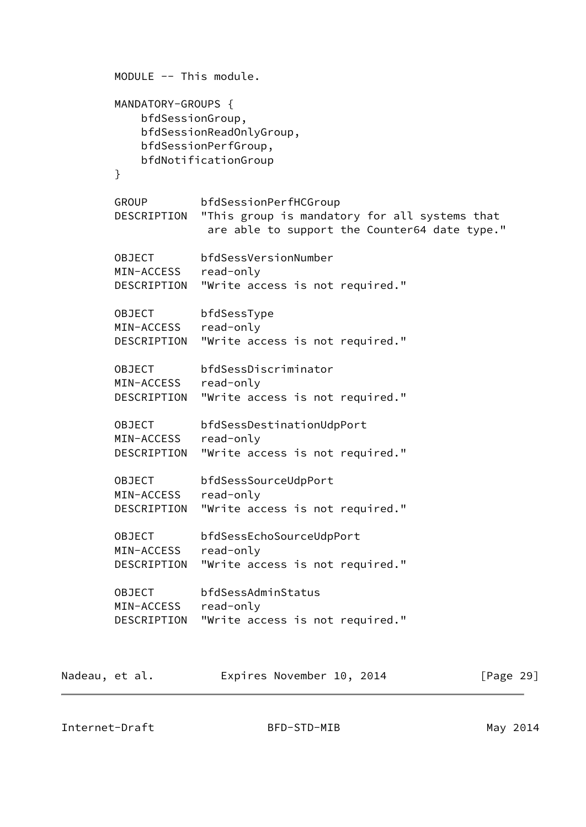```
 MODULE -- This module.
        MANDATORY-GROUPS {
            bfdSessionGroup,
            bfdSessionReadOnlyGroup,
            bfdSessionPerfGroup,
            bfdNotificationGroup
        }
        GROUP bfdSessionPerfHCGroup
        DESCRIPTION "This group is mandatory for all systems that
                     are able to support the Counter64 date type."
        OBJECT bfdSessVersionNumber
        MIN-ACCESS read-only
        DESCRIPTION "Write access is not required."
        OBJECT bfdSessType
        MIN-ACCESS read-only
        DESCRIPTION "Write access is not required."
        OBJECT bfdSessDiscriminator
        MIN-ACCESS read-only
        DESCRIPTION "Write access is not required."
        OBJECT bfdSessDestinationUdpPort
        MIN-ACCESS read-only
        DESCRIPTION "Write access is not required."
        OBJECT bfdSessSourceUdpPort
        MIN-ACCESS read-only
        DESCRIPTION "Write access is not required."
        OBJECT bfdSessEchoSourceUdpPort
        MIN-ACCESS read-only
        DESCRIPTION "Write access is not required."
        OBJECT bfdSessAdminStatus
        MIN-ACCESS read-only
        DESCRIPTION "Write access is not required."
Nadeau, et al. Expires November 10, 2014 [Page 29]
```
Internet-Draft BFD-STD-MIB May 2014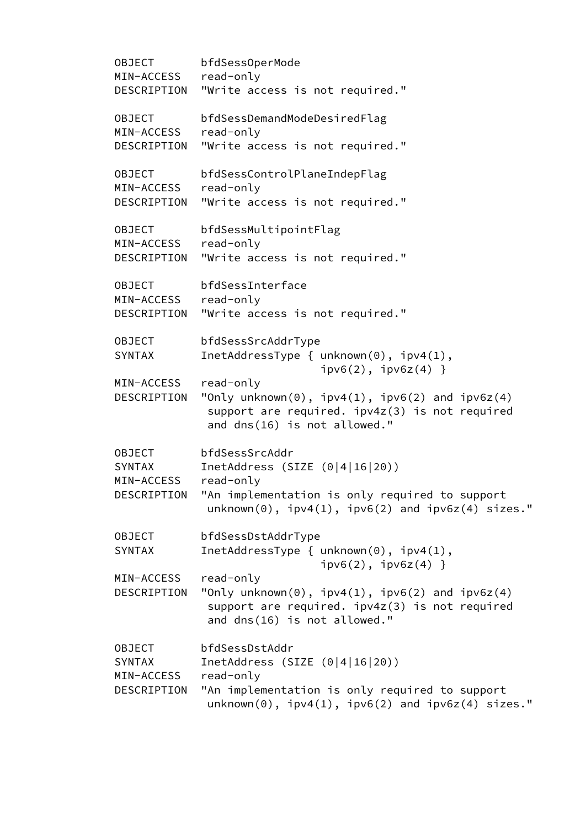OBJECT bfdSessOperMode MIN-ACCESS read-only DESCRIPTION "Write access is not required." OBJECT bfdSessDemandModeDesiredFlag MIN-ACCESS read-only DESCRIPTION "Write access is not required." OBJECT bfdSessControlPlaneIndepFlag MIN-ACCESS read-only DESCRIPTION "Write access is not required." OBJECT bfdSessMultipointFlag MIN-ACCESS read-only DESCRIPTION "Write access is not required." OBJECT bfdSessInterface MIN-ACCESS read-only DESCRIPTION "Write access is not required." OBJECT bfdSessSrcAddrType SYNTAX InetAddressType { unknown(0), ipv4(1),  $ipv6(2)$ ,  $ipv6z(4)$  } MIN-ACCESS read-only DESCRIPTION "Only unknown(0),  $ipv4(1)$ ,  $ipv6(2)$  and  $ipv6z(4)$  support are required. ipv4z(3) is not required and dns(16) is not allowed." OBJECT bfdSessSrcAddr SYNTAX InetAddress (SIZE (0|4|16|20)) MIN-ACCESS read-only DESCRIPTION "An implementation is only required to support  $unknown(0)$ ,  $ipv4(1)$ ,  $ipv6(2)$  and  $ipv6z(4)$  sizes." OBJECT bfdSessDstAddrType SYNTAX InetAddressType { unknown(0), ipv4(1),  $ipv6(2)$ ,  $ipv6z(4)$  } MIN-ACCESS read-only DESCRIPTION "Only unknown(0), ipv4(1), ipv6(2) and ipv6z(4) support are required. ipv4z(3) is not required and dns(16) is not allowed." OBJECT bfdSessDstAddr SYNTAX InetAddress (SIZE (0|4|16|20)) MIN-ACCESS read-only DESCRIPTION "An implementation is only required to support  $unknown(0)$ ,  $ipv4(1)$ ,  $ipv6(2)$  and  $ipv6z(4)$  sizes."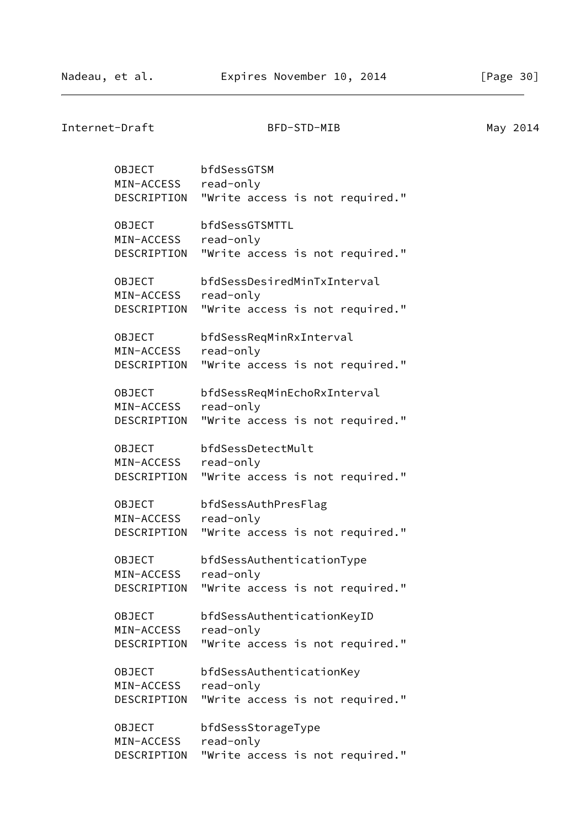Internet-Draft BFD-STD-MIB May 2014 OBJECT bfdSessGTSM MIN-ACCESS read-only DESCRIPTION "Write access is not required." OBJECT bfdSessGTSMTTL MIN-ACCESS read-only DESCRIPTION "Write access is not required." OBJECT bfdSessDesiredMinTxInterval MIN-ACCESS read-only DESCRIPTION "Write access is not required." OBJECT bfdSessReqMinRxInterval MIN-ACCESS read-only DESCRIPTION "Write access is not required." OBJECT bfdSessReqMinEchoRxInterval MIN-ACCESS read-only DESCRIPTION "Write access is not required." OBJECT bfdSessDetectMult MIN-ACCESS read-only DESCRIPTION "Write access is not required." OBJECT bfdSessAuthPresFlag MIN-ACCESS read-only DESCRIPTION "Write access is not required." OBJECT bfdSessAuthenticationType MIN-ACCESS read-only DESCRIPTION "Write access is not required." OBJECT bfdSessAuthenticationKeyID MIN-ACCESS read-only DESCRIPTION "Write access is not required." OBJECT bfdSessAuthenticationKey MIN-ACCESS read-only DESCRIPTION "Write access is not required." OBJECT bfdSessStorageType MIN-ACCESS read-only DESCRIPTION "Write access is not required."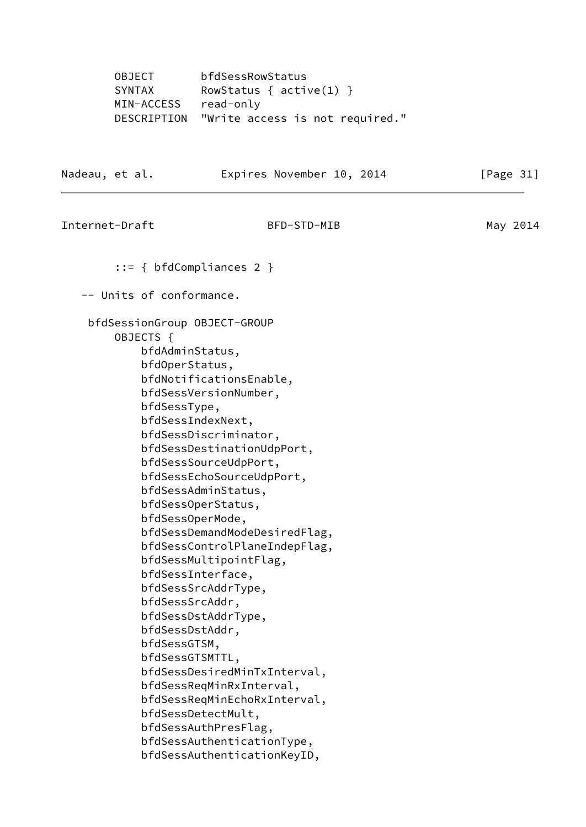OBJECT bfdSessRowStatus<br>SYNTAX RowStatus { acti RowStatus  $\{$  active(1)  $\}$  MIN-ACCESS read-only DESCRIPTION "Write access is not required." Nadeau, et al. **Expires November 10, 2014** [Page 31] Internet-Draft BFD-STD-MIB May 2014 ::= { bfdCompliances 2 } -- Units of conformance. bfdSessionGroup OBJECT-GROUP OBJECTS { bfdAdminStatus, bfdOperStatus, bfdNotificationsEnable, bfdSessVersionNumber, bfdSessType, bfdSessIndexNext, bfdSessDiscriminator, bfdSessDestinationUdpPort, bfdSessSourceUdpPort, bfdSessEchoSourceUdpPort, bfdSessAdminStatus, bfdSessOperStatus, bfdSessOperMode, bfdSessDemandModeDesiredFlag, bfdSessControlPlaneIndepFlag, bfdSessMultipointFlag, bfdSessInterface, bfdSessSrcAddrType, bfdSessSrcAddr, bfdSessDstAddrType, bfdSessDstAddr, bfdSessGTSM, bfdSessGTSMTTL, bfdSessDesiredMinTxInterval, bfdSessReqMinRxInterval, bfdSessReqMinEchoRxInterval, bfdSessDetectMult, bfdSessAuthPresFlag, bfdSessAuthenticationType, bfdSessAuthenticationKeyID,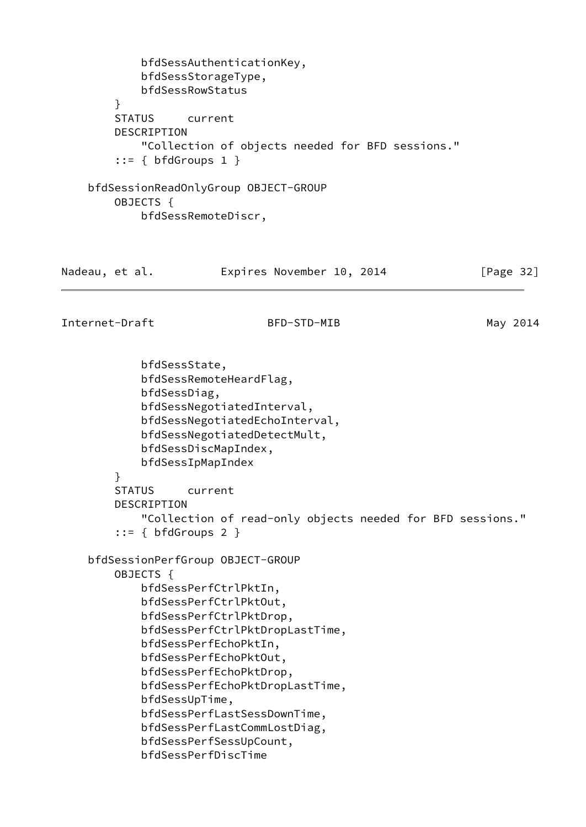```
 bfdSessAuthenticationKey,
            bfdSessStorageType,
            bfdSessRowStatus
         }
         STATUS current
        DESCRIPTION
            "Collection of objects needed for BFD sessions."
        ::= \{ bfdGroups 1 \} bfdSessionReadOnlyGroup OBJECT-GROUP
        OBJECTS {
            bfdSessRemoteDiscr,
Nadeau, et al. Expires November 10, 2014 [Page 32]
Internet-Draft BFD-STD-MIB May 2014
            bfdSessState,
            bfdSessRemoteHeardFlag,
            bfdSessDiag,
            bfdSessNegotiatedInterval,
            bfdSessNegotiatedEchoInterval,
            bfdSessNegotiatedDetectMult,
            bfdSessDiscMapIndex,
            bfdSessIpMapIndex
         }
        STATUS current
        DESCRIPTION
             "Collection of read-only objects needed for BFD sessions."
        ::= { bfdGroups 2 }
    bfdSessionPerfGroup OBJECT-GROUP
        OBJECTS {
            bfdSessPerfCtrlPktIn,
            bfdSessPerfCtrlPktOut,
            bfdSessPerfCtrlPktDrop,
            bfdSessPerfCtrlPktDropLastTime,
            bfdSessPerfEchoPktIn,
            bfdSessPerfEchoPktOut,
            bfdSessPerfEchoPktDrop,
            bfdSessPerfEchoPktDropLastTime,
            bfdSessUpTime,
            bfdSessPerfLastSessDownTime,
            bfdSessPerfLastCommLostDiag,
            bfdSessPerfSessUpCount,
            bfdSessPerfDiscTime
```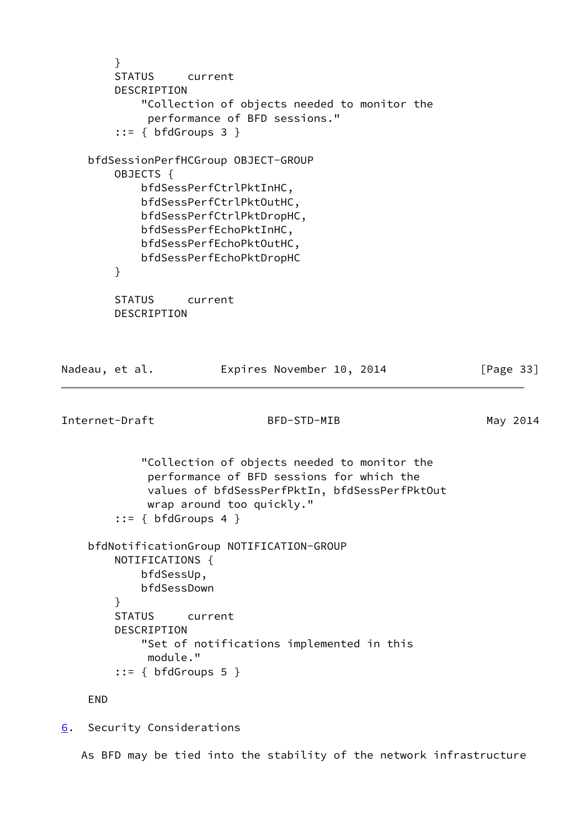} STATUS current DESCRIPTION "Collection of objects needed to monitor the performance of BFD sessions." ::= { bfdGroups 3 } bfdSessionPerfHCGroup OBJECT-GROUP OBJECTS { bfdSessPerfCtrlPktInHC, bfdSessPerfCtrlPktOutHC, bfdSessPerfCtrlPktDropHC, bfdSessPerfEchoPktInHC, bfdSessPerfEchoPktOutHC, bfdSessPerfEchoPktDropHC } STATUS current DESCRIPTION Nadeau, et al. **Expires November 10, 2014** [Page 33] Internet-Draft BFD-STD-MIB May 2014 "Collection of objects needed to monitor the performance of BFD sessions for which the values of bfdSessPerfPktIn, bfdSessPerfPktOut wrap around too quickly."  $::=$  { bfdGroups 4 } bfdNotificationGroup NOTIFICATION-GROUP NOTIFICATIONS { bfdSessUp, bfdSessDown } STATUS current DESCRIPTION "Set of notifications implemented in this module."  $::=$  { bfdGroups 5 } END [6](#page-37-0). Security Considerations

<span id="page-37-1"></span><span id="page-37-0"></span>As BFD may be tied into the stability of the network infrastructure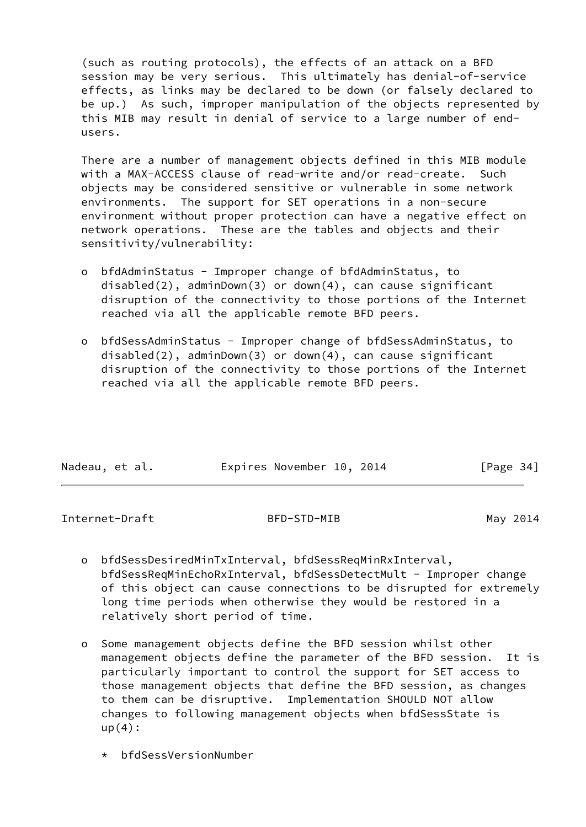(such as routing protocols), the effects of an attack on a BFD session may be very serious. This ultimately has denial-of-service effects, as links may be declared to be down (or falsely declared to be up.) As such, improper manipulation of the objects represented by this MIB may result in denial of service to a large number of end users.

 There are a number of management objects defined in this MIB module with a MAX-ACCESS clause of read-write and/or read-create. Such objects may be considered sensitive or vulnerable in some network environments. The support for SET operations in a non-secure environment without proper protection can have a negative effect on network operations. These are the tables and objects and their sensitivity/vulnerability:

- o bfdAdminStatus Improper change of bfdAdminStatus, to disabled(2), adminDown(3) or down(4), can cause significant disruption of the connectivity to those portions of the Internet reached via all the applicable remote BFD peers.
- o bfdSessAdminStatus Improper change of bfdSessAdminStatus, to disabled(2), adminDown(3) or down(4), can cause significant disruption of the connectivity to those portions of the Internet reached via all the applicable remote BFD peers.

| Nadeau, et al. |  | Expires November 10, 2014 |  | [Page 34] |  |
|----------------|--|---------------------------|--|-----------|--|
|                |  |                           |  |           |  |

Internet-Draft BFD-STD-MIB May 2014

- o bfdSessDesiredMinTxInterval, bfdSessReqMinRxInterval, bfdSessReqMinEchoRxInterval, bfdSessDetectMult - Improper change of this object can cause connections to be disrupted for extremely long time periods when otherwise they would be restored in a relatively short period of time.
- o Some management objects define the BFD session whilst other management objects define the parameter of the BFD session. It is particularly important to control the support for SET access to those management objects that define the BFD session, as changes to them can be disruptive. Implementation SHOULD NOT allow changes to following management objects when bfdSessState is  $up(4):$ 
	- \* bfdSessVersionNumber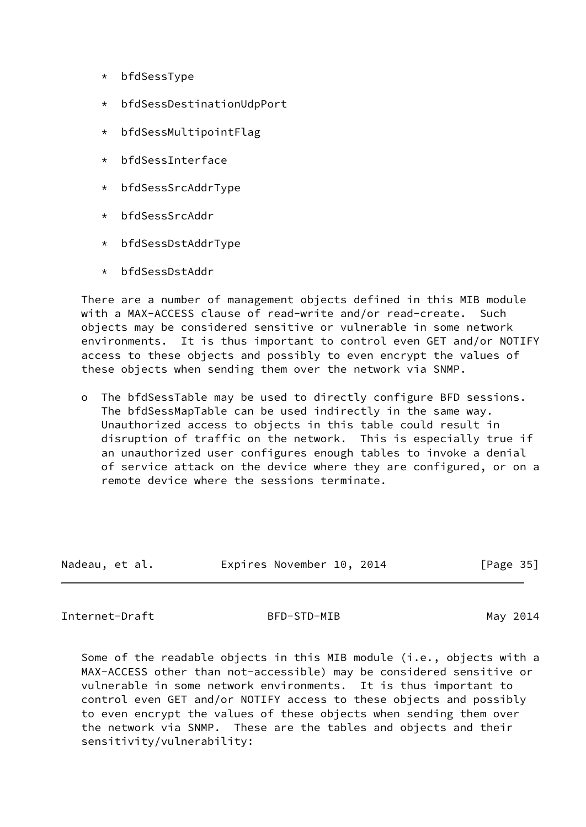- \* bfdSessType
- \* bfdSessDestinationUdpPort
- \* bfdSessMultipointFlag
- \* bfdSessInterface
- \* bfdSessSrcAddrType
- \* bfdSessSrcAddr
- \* bfdSessDstAddrType
- \* bfdSessDstAddr

 There are a number of management objects defined in this MIB module with a MAX-ACCESS clause of read-write and/or read-create. Such objects may be considered sensitive or vulnerable in some network environments. It is thus important to control even GET and/or NOTIFY access to these objects and possibly to even encrypt the values of these objects when sending them over the network via SNMP.

 o The bfdSessTable may be used to directly configure BFD sessions. The bfdSessMapTable can be used indirectly in the same way. Unauthorized access to objects in this table could result in disruption of traffic on the network. This is especially true if an unauthorized user configures enough tables to invoke a denial of service attack on the device where they are configured, or on a remote device where the sessions terminate.

| Nadeau, et al. |  | Expires November 10, 2014 |  | [Page 35] |  |
|----------------|--|---------------------------|--|-----------|--|
|                |  |                           |  |           |  |

<span id="page-39-0"></span>Internet-Draft BFD-STD-MIB May 2014

 Some of the readable objects in this MIB module (i.e., objects with a MAX-ACCESS other than not-accessible) may be considered sensitive or vulnerable in some network environments. It is thus important to control even GET and/or NOTIFY access to these objects and possibly to even encrypt the values of these objects when sending them over the network via SNMP. These are the tables and objects and their sensitivity/vulnerability: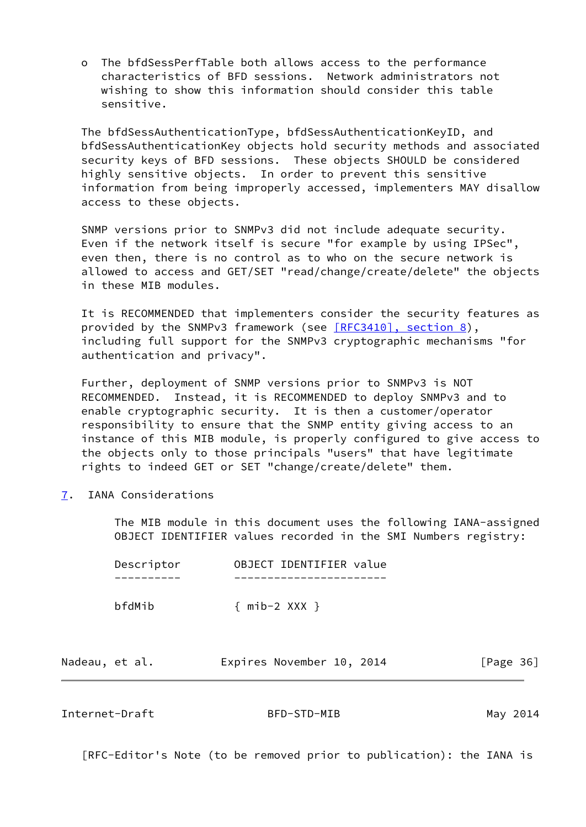o The bfdSessPerfTable both allows access to the performance characteristics of BFD sessions. Network administrators not wishing to show this information should consider this table sensitive.

 The bfdSessAuthenticationType, bfdSessAuthenticationKeyID, and bfdSessAuthenticationKey objects hold security methods and associated security keys of BFD sessions. These objects SHOULD be considered highly sensitive objects. In order to prevent this sensitive information from being improperly accessed, implementers MAY disallow access to these objects.

 SNMP versions prior to SNMPv3 did not include adequate security. Even if the network itself is secure "for example by using IPSec", even then, there is no control as to who on the secure network is allowed to access and GET/SET "read/change/create/delete" the objects in these MIB modules.

 It is RECOMMENDED that implementers consider the security features as provided by the SNMPv3 framework (see [\[RFC3410\], section](https://datatracker.ietf.org/doc/pdf/rfc3410#section-8) 8), including full support for the SNMPv3 cryptographic mechanisms "for authentication and privacy".

 Further, deployment of SNMP versions prior to SNMPv3 is NOT RECOMMENDED. Instead, it is RECOMMENDED to deploy SNMPv3 and to enable cryptographic security. It is then a customer/operator responsibility to ensure that the SNMP entity giving access to an instance of this MIB module, is properly configured to give access to the objects only to those principals "users" that have legitimate rights to indeed GET or SET "change/create/delete" them.

<span id="page-40-0"></span>[7](#page-40-0). IANA Considerations

 The MIB module in this document uses the following IANA-assigned OBJECT IDENTIFIER values recorded in the SMI Numbers registry:

|        | Descriptor |                     | OBJECT IDENTIFIER value |  |
|--------|------------|---------------------|-------------------------|--|
|        |            |                     |                         |  |
| bfdMib |            | $\{$ mib-2 XXX $\}$ |                         |  |

| Nadeau, et al. | Expires November 10, 2014 |  | [Page 36] |
|----------------|---------------------------|--|-----------|
|----------------|---------------------------|--|-----------|

<span id="page-40-1"></span>Internet-Draft BFD-STD-MIB May 2014

[RFC-Editor's Note (to be removed prior to publication): the IANA is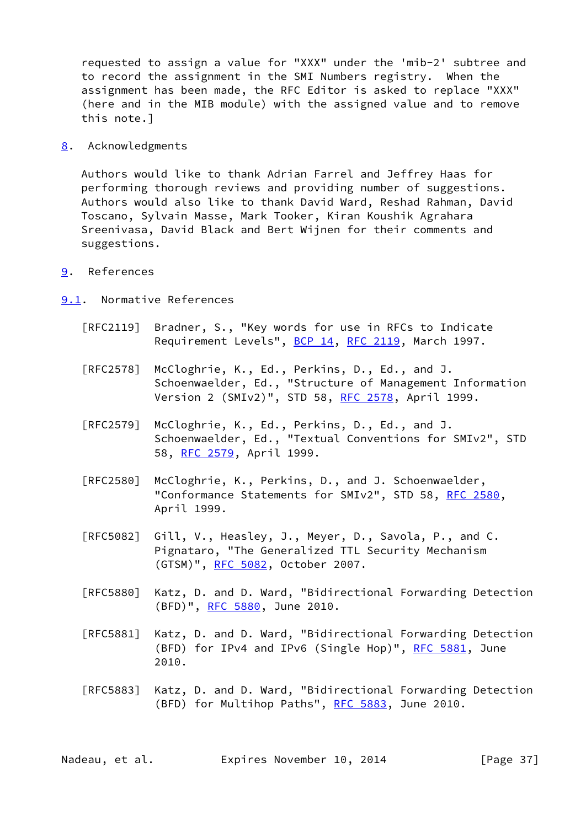requested to assign a value for "XXX" under the 'mib-2' subtree and to record the assignment in the SMI Numbers registry. When the assignment has been made, the RFC Editor is asked to replace "XXX" (here and in the MIB module) with the assigned value and to remove this note.]

<span id="page-41-0"></span>[8](#page-41-0). Acknowledgments

 Authors would like to thank Adrian Farrel and Jeffrey Haas for performing thorough reviews and providing number of suggestions. Authors would also like to thank David Ward, Reshad Rahman, David Toscano, Sylvain Masse, Mark Tooker, Kiran Koushik Agrahara Sreenivasa, David Black and Bert Wijnen for their comments and suggestions.

<span id="page-41-1"></span>[9](#page-41-1). References

<span id="page-41-2"></span>[9.1](#page-41-2). Normative References

- [RFC2119] Bradner, S., "Key words for use in RFCs to Indicate Requirement Levels", [BCP 14](https://datatracker.ietf.org/doc/pdf/bcp14), [RFC 2119](https://datatracker.ietf.org/doc/pdf/rfc2119), March 1997.
- [RFC2578] McCloghrie, K., Ed., Perkins, D., Ed., and J. Schoenwaelder, Ed., "Structure of Management Information Version 2 (SMIv2)", STD 58, [RFC 2578,](https://datatracker.ietf.org/doc/pdf/rfc2578) April 1999.
- [RFC2579] McCloghrie, K., Ed., Perkins, D., Ed., and J. Schoenwaelder, Ed., "Textual Conventions for SMIv2", STD 58, [RFC 2579,](https://datatracker.ietf.org/doc/pdf/rfc2579) April 1999.
- [RFC2580] McCloghrie, K., Perkins, D., and J. Schoenwaelder, "Conformance Statements for SMIv2", STD 58, [RFC 2580,](https://datatracker.ietf.org/doc/pdf/rfc2580) April 1999.
- [RFC5082] Gill, V., Heasley, J., Meyer, D., Savola, P., and C. Pignataro, "The Generalized TTL Security Mechanism (GTSM)", [RFC 5082,](https://datatracker.ietf.org/doc/pdf/rfc5082) October 2007.
- [RFC5880] Katz, D. and D. Ward, "Bidirectional Forwarding Detection (BFD)", [RFC 5880,](https://datatracker.ietf.org/doc/pdf/rfc5880) June 2010.
- [RFC5881] Katz, D. and D. Ward, "Bidirectional Forwarding Detection (BFD) for IPv4 and IPv6 (Single Hop)", [RFC 5881](https://datatracker.ietf.org/doc/pdf/rfc5881), June 2010.
- [RFC5883] Katz, D. and D. Ward, "Bidirectional Forwarding Detection (BFD) for Multihop Paths", [RFC 5883](https://datatracker.ietf.org/doc/pdf/rfc5883), June 2010.

Nadeau, et al. Expires November 10, 2014 [Page 37]